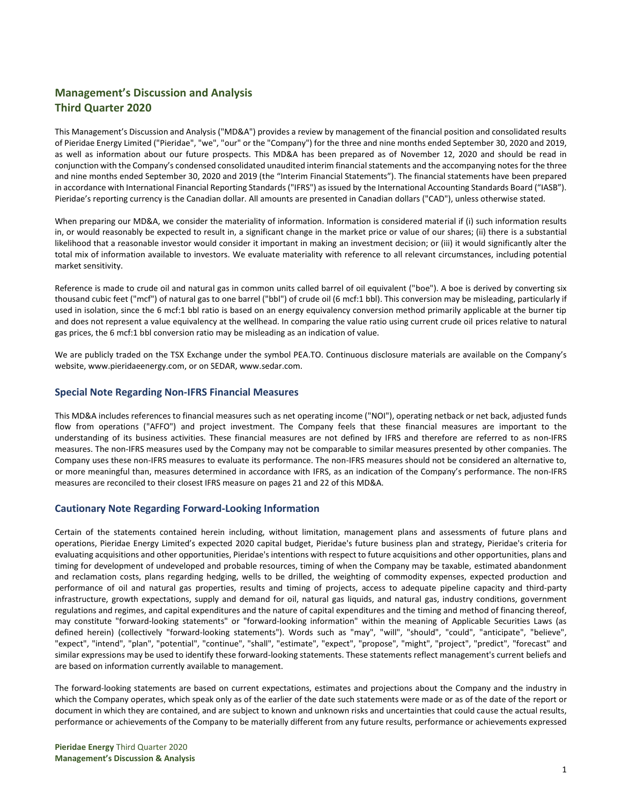# **Management's Discussion and Analysis Third Quarter 2020**

This Management's Discussion and Analysis ("MD&A") provides a review by management of the financial position and consolidated results of Pieridae Energy Limited ("Pieridae", "we", "our" or the "Company") for the three and nine months ended September 30, 2020 and 2019, as well as information about our future prospects. This MD&A has been prepared as of November 12, 2020 and should be read in conjunction with the Company's condensed consolidated unaudited interim financial statements and the accompanying notes for the three and nine months ended September 30, 2020 and 2019 (the "Interim Financial Statements"). The financial statements have been prepared in accordance with International Financial Reporting Standards ("IFRS") as issued by the International Accounting Standards Board ("IASB"). Pieridae's reporting currency is the Canadian dollar. All amounts are presented in Canadian dollars ("CAD"), unless otherwise stated.

When preparing our MD&A, we consider the materiality of information. Information is considered material if (i) such information results in, or would reasonably be expected to result in, a significant change in the market price or value of our shares; (ii) there is a substantial likelihood that a reasonable investor would consider it important in making an investment decision; or (iii) it would significantly alter the total mix of information available to investors. We evaluate materiality with reference to all relevant circumstances, including potential market sensitivity.

Reference is made to crude oil and natural gas in common units called barrel of oil equivalent ("boe"). A boe is derived by converting six thousand cubic feet ("mcf") of natural gas to one barrel ("bbl") of crude oil (6 mcf:1 bbl). This conversion may be misleading, particularly if used in isolation, since the 6 mcf:1 bbl ratio is based on an energy equivalency conversion method primarily applicable at the burner tip and does not represent a value equivalency at the wellhead. In comparing the value ratio using current crude oil prices relative to natural gas prices, the 6 mcf:1 bbl conversion ratio may be misleading as an indication of value.

We are publicly traded on the TSX Exchange under the symbol PEA.TO. Continuous disclosure materials are available on the Company's website, [www.pieridaeenergy.com,](http://www.pieridaeenergy.com/) or on SEDAR, [www.sedar.com.](http://www.sedar.com/)

# **Special Note Regarding Non-IFRS Financial Measures**

This MD&A includes references to financial measures such as net operating income ("NOI"), operating netback or net back, adjusted funds flow from operations ("AFFO") and project investment. The Company feels that these financial measures are important to the understanding of its business activities. These financial measures are not defined by IFRS and therefore are referred to as non-IFRS measures. The non-IFRS measures used by the Company may not be comparable to similar measures presented by other companies. The Company uses these non-IFRS measures to evaluate its performance. The non-IFRS measures should not be considered an alternative to, or more meaningful than, measures determined in accordance with IFRS, as an indication of the Company's performance. The non-IFRS measures are reconciled to their closest IFRS measure on pages 21 and 22 of this MD&A.

# **Cautionary Note Regarding Forward-Looking Information**

Certain of the statements contained herein including, without limitation, management plans and assessments of future plans and operations, Pieridae Energy Limited's expected 2020 capital budget, Pieridae's future business plan and strategy, Pieridae's criteria for evaluating acquisitions and other opportunities, Pieridae's intentions with respect to future acquisitions and other opportunities, plans and timing for development of undeveloped and probable resources, timing of when the Company may be taxable, estimated abandonment and reclamation costs, plans regarding hedging, wells to be drilled, the weighting of commodity expenses, expected production and performance of oil and natural gas properties, results and timing of projects, access to adequate pipeline capacity and third-party infrastructure, growth expectations, supply and demand for oil, natural gas liquids, and natural gas, industry conditions, government regulations and regimes, and capital expenditures and the nature of capital expenditures and the timing and method of financing thereof, may constitute "forward-looking statements" or "forward-looking information" within the meaning of Applicable Securities Laws (as defined herein) (collectively "forward-looking statements"). Words such as "may", "will", "should", "could", "anticipate", "believe", "expect", "intend", "plan", "potential", "continue", "shall", "estimate", "expect", "propose", "might", "project", "predict", "forecast" and similar expressions may be used to identify these forward-looking statements. These statements reflect management's current beliefs and are based on information currently available to management.

The forward-looking statements are based on current expectations, estimates and projections about the Company and the industry in which the Company operates, which speak only as of the earlier of the date such statements were made or as of the date of the report or document in which they are contained, and are subject to known and unknown risks and uncertainties that could cause the actual results, performance or achievements of the Company to be materially different from any future results, performance or achievements expressed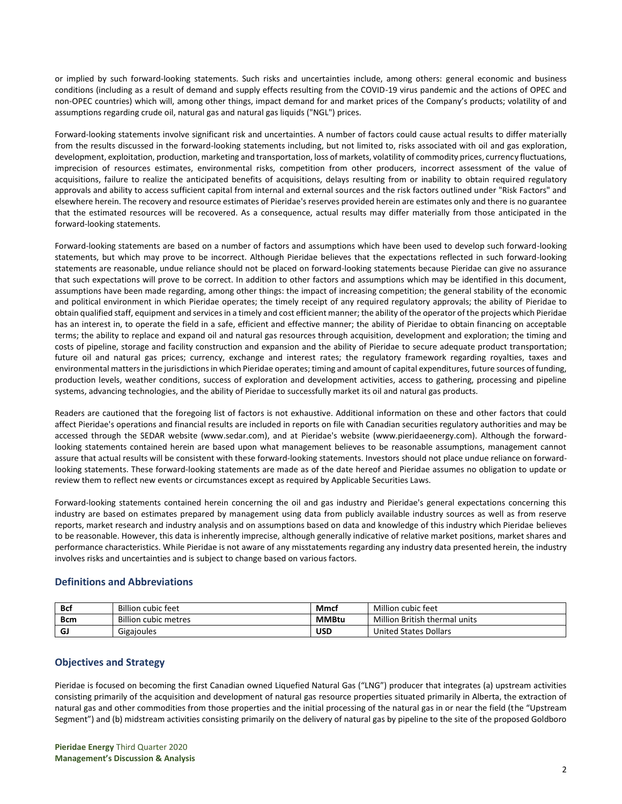or implied by such forward-looking statements. Such risks and uncertainties include, among others: general economic and business conditions (including as a result of demand and supply effects resulting from the COVID-19 virus pandemic and the actions of OPEC and non-OPEC countries) which will, among other things, impact demand for and market prices of the Company's products; volatility of and assumptions regarding crude oil, natural gas and natural gas liquids ("NGL") prices.

Forward-looking statements involve significant risk and uncertainties. A number of factors could cause actual results to differ materially from the results discussed in the forward-looking statements including, but not limited to, risks associated with oil and gas exploration, development, exploitation, production, marketing and transportation, loss of markets, volatility of commodity prices, currency fluctuations, imprecision of resources estimates, environmental risks, competition from other producers, incorrect assessment of the value of acquisitions, failure to realize the anticipated benefits of acquisitions, delays resulting from or inability to obtain required regulatory approvals and ability to access sufficient capital from internal and external sources and the risk factors outlined under "Risk Factors" and elsewhere herein. The recovery and resource estimates of Pieridae's reserves provided herein are estimates only and there is no guarantee that the estimated resources will be recovered. As a consequence, actual results may differ materially from those anticipated in the forward-looking statements.

Forward-looking statements are based on a number of factors and assumptions which have been used to develop such forward-looking statements, but which may prove to be incorrect. Although Pieridae believes that the expectations reflected in such forward-looking statements are reasonable, undue reliance should not be placed on forward-looking statements because Pieridae can give no assurance that such expectations will prove to be correct. In addition to other factors and assumptions which may be identified in this document, assumptions have been made regarding, among other things: the impact of increasing competition; the general stability of the economic and political environment in which Pieridae operates; the timely receipt of any required regulatory approvals; the ability of Pieridae to obtain qualified staff, equipment and services in a timely and cost efficient manner; the ability of the operator of the projects which Pieridae has an interest in, to operate the field in a safe, efficient and effective manner; the ability of Pieridae to obtain financing on acceptable terms; the ability to replace and expand oil and natural gas resources through acquisition, development and exploration; the timing and costs of pipeline, storage and facility construction and expansion and the ability of Pieridae to secure adequate product transportation; future oil and natural gas prices; currency, exchange and interest rates; the regulatory framework regarding royalties, taxes and environmental matters in the jurisdictions in which Pieridae operates; timing and amount of capital expenditures, future sources of funding, production levels, weather conditions, success of exploration and development activities, access to gathering, processing and pipeline systems, advancing technologies, and the ability of Pieridae to successfully market its oil and natural gas products.

Readers are cautioned that the foregoing list of factors is not exhaustive. Additional information on these and other factors that could affect Pieridae's operations and financial results are included in reports on file with Canadian securities regulatory authorities and may be accessed through the SEDAR website (www.sedar.com), and at Pieridae's website (www.pieridaeenergy.com). Although the forwardlooking statements contained herein are based upon what management believes to be reasonable assumptions, management cannot assure that actual results will be consistent with these forward-looking statements. Investors should not place undue reliance on forwardlooking statements. These forward-looking statements are made as of the date hereof and Pieridae assumes no obligation to update or review them to reflect new events or circumstances except as required by Applicable Securities Laws.

Forward-looking statements contained herein concerning the oil and gas industry and Pieridae's general expectations concerning this industry are based on estimates prepared by management using data from publicly available industry sources as well as from reserve reports, market research and industry analysis and on assumptions based on data and knowledge of this industry which Pieridae believes to be reasonable. However, this data is inherently imprecise, although generally indicative of relative market positions, market shares and performance characteristics. While Pieridae is not aware of any misstatements regarding any industry data presented herein, the industry involves risks and uncertainties and is subject to change based on various factors.

# **Definitions and Abbreviations**

| Bcf | <b>Billion cubic feet</b>   | Mmcf         | Million cubic feet            |
|-----|-----------------------------|--------------|-------------------------------|
| Bcm | <b>Billion cubic metres</b> | <b>MMBtu</b> | Million British thermal units |
| G.  | Gigajoules                  | <b>USD</b>   | <b>United States Dollars</b>  |

# **Objectives and Strategy**

Pieridae is focused on becoming the first Canadian owned Liquefied Natural Gas ("LNG") producer that integrates (a) upstream activities consisting primarily of the acquisition and development of natural gas resource properties situated primarily in Alberta, the extraction of natural gas and other commodities from those properties and the initial processing of the natural gas in or near the field (the "Upstream Segment") and (b) midstream activities consisting primarily on the delivery of natural gas by pipeline to the site of the proposed Goldboro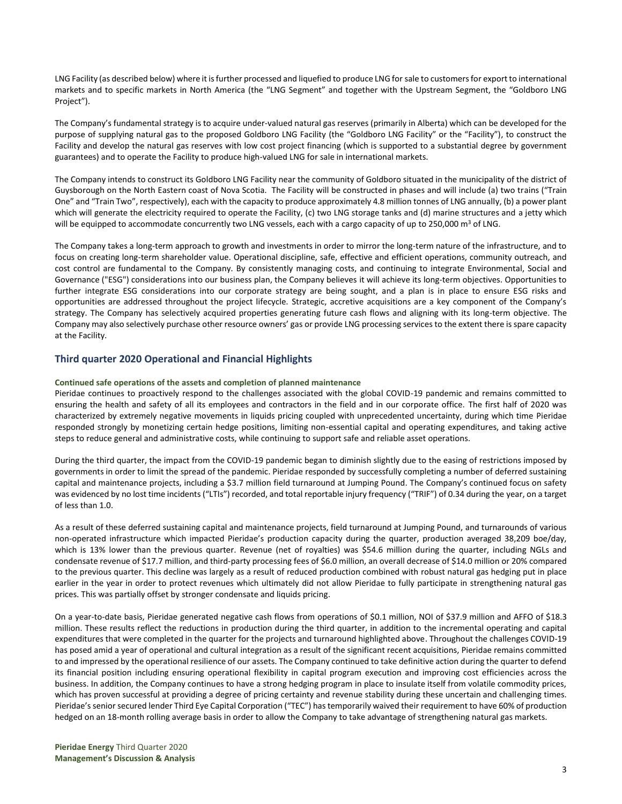LNG Facility (as described below) where it is further processed and liquefied to produce LNG for sale to customers for export to international markets and to specific markets in North America (the "LNG Segment" and together with the Upstream Segment, the "Goldboro LNG Project").

The Company's fundamental strategy is to acquire under-valued natural gas reserves (primarily in Alberta) which can be developed for the purpose of supplying natural gas to the proposed Goldboro LNG Facility (the "Goldboro LNG Facility" or the "Facility"), to construct the Facility and develop the natural gas reserves with low cost project financing (which is supported to a substantial degree by government guarantees) and to operate the Facility to produce high-valued LNG for sale in international markets.

The Company intends to construct its Goldboro LNG Facility near the community of Goldboro situated in the municipality of the district of Guysborough on the North Eastern coast of Nova Scotia. The Facility will be constructed in phases and will include (a) two trains ("Train One" and "Train Two", respectively), each with the capacity to produce approximately 4.8 million tonnes of LNG annually, (b) a power plant which will generate the electricity required to operate the Facility, (c) two LNG storage tanks and (d) marine structures and a jetty which will be equipped to accommodate concurrently two LNG vessels, each with a cargo capacity of up to 250,000 m<sup>3</sup> of LNG.

The Company takes a long-term approach to growth and investments in order to mirror the long-term nature of the infrastructure, and to focus on creating long-term shareholder value. Operational discipline, safe, effective and efficient operations, community outreach, and cost control are fundamental to the Company. By consistently managing costs, and continuing to integrate Environmental, Social and Governance ("ESG") considerations into our business plan, the Company believes it will achieve its long-term objectives. Opportunities to further integrate ESG considerations into our corporate strategy are being sought, and a plan is in place to ensure ESG risks and opportunities are addressed throughout the project lifecycle. Strategic, accretive acquisitions are a key component of the Company's strategy. The Company has selectively acquired properties generating future cash flows and aligning with its long-term objective. The Company may also selectively purchase other resource owners' gas or provide LNG processing services to the extent there is spare capacity at the Facility.

# **Third quarter 2020 Operational and Financial Highlights**

### **Continued safe operations of the assets and completion of planned maintenance**

Pieridae continues to proactively respond to the challenges associated with the global COVID-19 pandemic and remains committed to ensuring the health and safety of all its employees and contractors in the field and in our corporate office. The first half of 2020 was characterized by extremely negative movements in liquids pricing coupled with unprecedented uncertainty, during which time Pieridae responded strongly by monetizing certain hedge positions, limiting non-essential capital and operating expenditures, and taking active steps to reduce general and administrative costs, while continuing to support safe and reliable asset operations.

During the third quarter, the impact from the COVID-19 pandemic began to diminish slightly due to the easing of restrictions imposed by governments in order to limit the spread of the pandemic. Pieridae responded by successfully completing a number of deferred sustaining capital and maintenance projects, including a \$3.7 million field turnaround at Jumping Pound. The Company's continued focus on safety was evidenced by no lost time incidents ("LTIs") recorded, and total reportable injury frequency ("TRIF") of 0.34 during the year, on a target of less than 1.0.

As a result of these deferred sustaining capital and maintenance projects, field turnaround at Jumping Pound, and turnarounds of various non-operated infrastructure which impacted Pieridae's production capacity during the quarter, production averaged 38,209 boe/day, which is 13% lower than the previous quarter. Revenue (net of royalties) was \$54.6 million during the quarter, including NGLs and condensate revenue of \$17.7 million, and third-party processing fees of \$6.0 million, an overall decrease of \$14.0 million or 20% compared to the previous quarter. This decline was largely as a result of reduced production combined with robust natural gas hedging put in place earlier in the year in order to protect revenues which ultimately did not allow Pieridae to fully participate in strengthening natural gas prices. This was partially offset by stronger condensate and liquids pricing.

On a year-to-date basis, Pieridae generated negative cash flows from operations of \$0.1 million, NOI of \$37.9 million and AFFO of \$18.3 million. These results reflect the reductions in production during the third quarter, in addition to the incremental operating and capital expenditures that were completed in the quarter for the projects and turnaround highlighted above. Throughout the challenges COVID-19 has posed amid a year of operational and cultural integration as a result of the significant recent acquisitions, Pieridae remains committed to and impressed by the operational resilience of our assets. The Company continued to take definitive action during the quarter to defend its financial position including ensuring operational flexibility in capital program execution and improving cost efficiencies across the business. In addition, the Company continues to have a strong hedging program in place to insulate itself from volatile commodity prices, which has proven successful at providing a degree of pricing certainty and revenue stability during these uncertain and challenging times. Pieridae's senior secured lender Third Eye Capital Corporation ("TEC") has temporarily waived their requirement to have 60% of production hedged on an 18-month rolling average basis in order to allow the Company to take advantage of strengthening natural gas markets.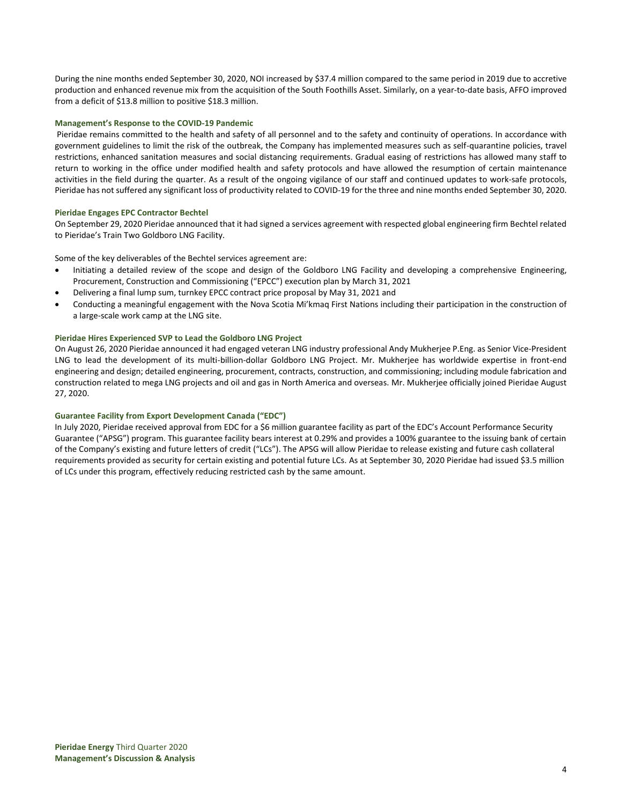During the nine months ended September 30, 2020, NOI increased by \$37.4 million compared to the same period in 2019 due to accretive production and enhanced revenue mix from the acquisition of the South Foothills Asset. Similarly, on a year-to-date basis, AFFO improved from a deficit of \$13.8 million to positive \$18.3 million.

### **Management's Response to the COVID-19 Pandemic**

Pieridae remains committed to the health and safety of all personnel and to the safety and continuity of operations. In accordance with government guidelines to limit the risk of the outbreak, the Company has implemented measures such as self-quarantine policies, travel restrictions, enhanced sanitation measures and social distancing requirements. Gradual easing of restrictions has allowed many staff to return to working in the office under modified health and safety protocols and have allowed the resumption of certain maintenance activities in the field during the quarter. As a result of the ongoing vigilance of our staff and continued updates to work-safe protocols, Pieridae has not suffered any significant loss of productivity related to COVID-19 for the three and nine months ended September 30, 2020.

### **Pieridae Engages EPC Contractor Bechtel**

On September 29, 2020 Pieridae announced that it had signed a services agreement with respected global engineering firm Bechtel related to Pieridae's Train Two Goldboro LNG Facility.

Some of the key deliverables of the Bechtel services agreement are:

- Initiating a detailed review of the scope and design of the Goldboro LNG Facility and developing a comprehensive Engineering, Procurement, Construction and Commissioning ("EPCC") execution plan by March 31, 2021
- Delivering a final lump sum, turnkey EPCC contract price proposal by May 31, 2021 and
- Conducting a meaningful engagement with the Nova Scotia Mi'kmaq First Nations including their participation in the construction of a large-scale work camp at the LNG site.

### **Pieridae Hires Experienced SVP to Lead the Goldboro LNG Project**

On August 26, 2020 Pieridae announced it had engaged veteran LNG industry professional Andy Mukherjee P.Eng. as Senior Vice-President LNG to lead the development of its multi-billion-dollar Goldboro LNG Project. Mr. Mukherjee has worldwide expertise in front-end engineering and design; detailed engineering, procurement, contracts, construction, and commissioning; including module fabrication and construction related to mega LNG projects and oil and gas in North America and overseas. Mr. Mukherjee officially joined Pieridae August 27, 2020.

# **Guarantee Facility from Export Development Canada ("EDC")**

In July 2020, Pieridae received approval from EDC for a \$6 million guarantee facility as part of the EDC's Account Performance Security Guarantee ("APSG") program. This guarantee facility bears interest at 0.29% and provides a 100% guarantee to the issuing bank of certain of the Company's existing and future letters of credit ("LCs"). The APSG will allow Pieridae to release existing and future cash collateral requirements provided as security for certain existing and potential future LCs. As at September 30, 2020 Pieridae had issued \$3.5 million of LCs under this program, effectively reducing restricted cash by the same amount.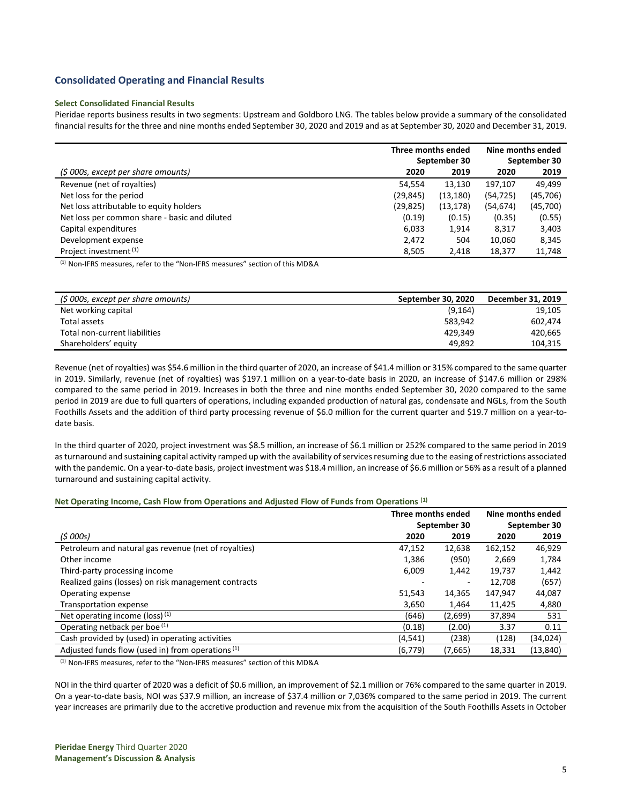# **Consolidated Operating and Financial Results**

### **Select Consolidated Financial Results**

Pieridae reports business results in two segments: Upstream and Goldboro LNG. The tables below provide a summary of the consolidated financial results for the three and nine months ended September 30, 2020 and 2019 and as at September 30, 2020 and December 31, 2019.

|                                               | Three months ended |              | Nine months ended |              |
|-----------------------------------------------|--------------------|--------------|-------------------|--------------|
|                                               |                    | September 30 |                   | September 30 |
| (\$ 000s, except per share amounts)           | 2020               | 2019         | 2020              | 2019         |
| Revenue (net of royalties)                    | 54,554             | 13,130       | 197,107           | 49.499       |
| Net loss for the period                       | (29, 845)          | (13, 180)    | (54, 725)         | (45, 706)    |
| Net loss attributable to equity holders       | (29, 825)          | (13, 178)    | (54, 674)         | (45,700)     |
| Net loss per common share - basic and diluted | (0.19)             | (0.15)       | (0.35)            | (0.55)       |
| Capital expenditures                          | 6,033              | 1,914        | 8,317             | 3,403        |
| Development expense                           | 2,472              | 504          | 10,060            | 8,345        |
| Project investment <sup>(1)</sup>             | 8.505              | 2,418        | 18.377            | 11,748       |

(1) Non-IFRS measures, refer to the "Non-IFRS measures" section of this MD&A

| (\$ 000s, except per share amounts) | September 30, 2020 | December 31, 2019 |
|-------------------------------------|--------------------|-------------------|
| Net working capital                 | (9, 164)           | 19,105            |
| Total assets                        | 583.942            | 602.474           |
| Total non-current liabilities       | 429.349            | 420.665           |
| Shareholders' equity                | 49.892             | 104.315           |

Revenue (net of royalties) was \$54.6 million in the third quarter of 2020, an increase of \$41.4 million or 315% compared to the same quarter in 2019. Similarly, revenue (net of royalties) was \$197.1 million on a year-to-date basis in 2020, an increase of \$147.6 million or 298% compared to the same period in 2019. Increases in both the three and nine months ended September 30, 2020 compared to the same period in 2019 are due to full quarters of operations, including expanded production of natural gas, condensate and NGLs, from the South Foothills Assets and the addition of third party processing revenue of \$6.0 million for the current quarter and \$19.7 million on a year-todate basis.

In the third quarter of 2020, project investment was \$8.5 million, an increase of \$6.1 million or 252% compared to the same period in 2019 as turnaround and sustaining capital activity ramped up with the availability of services resuming due to the easing of restrictions associated with the pandemic. On a year-to-date basis, project investment was \$18.4 million, an increase of \$6.6 million or 56% as a result of a planned turnaround and sustaining capital activity.

### **Net Operating Income, Cash Flow from Operations and Adjusted Flow of Funds from Operations (1)**

|                                                      | Three months ended |              | Nine months ended |              |
|------------------------------------------------------|--------------------|--------------|-------------------|--------------|
|                                                      |                    | September 30 |                   | September 30 |
| (\$ 000s)                                            | 2020               | 2019         | 2020              | 2019         |
| Petroleum and natural gas revenue (net of royalties) | 47,152             | 12,638       | 162,152           | 46,929       |
| Other income                                         | 1,386              | (950)        | 2,669             | 1,784        |
| Third-party processing income                        | 6,009              | 1,442        | 19,737            | 1,442        |
| Realized gains (losses) on risk management contracts |                    | ۰            | 12,708            | (657)        |
| Operating expense                                    | 51,543             | 14,365       | 147,947           | 44,087       |
| Transportation expense                               | 3,650              | 1,464        | 11,425            | 4,880        |
| Net operating income (loss) (1)                      | (646)              | (2,699)      | 37,894            | 531          |
| Operating netback per boe (1)                        | (0.18)             | (2.00)       | 3.37              | 0.11         |
| Cash provided by (used) in operating activities      | (4, 541)           | (238)        | (128)             | (34,024)     |
| Adjusted funds flow (used in) from operations (1)    | (6, 779)           | (7,665)      | 18,331            | (13, 840)    |

(1) Non-IFRS measures, refer to the "Non-IFRS measures" section of this MD&A

NOI in the third quarter of 2020 was a deficit of \$0.6 million, an improvement of \$2.1 million or 76% compared to the same quarter in 2019. On a year-to-date basis, NOI was \$37.9 million, an increase of \$37.4 million or 7,036% compared to the same period in 2019. The current year increases are primarily due to the accretive production and revenue mix from the acquisition of the South Foothills Assets in October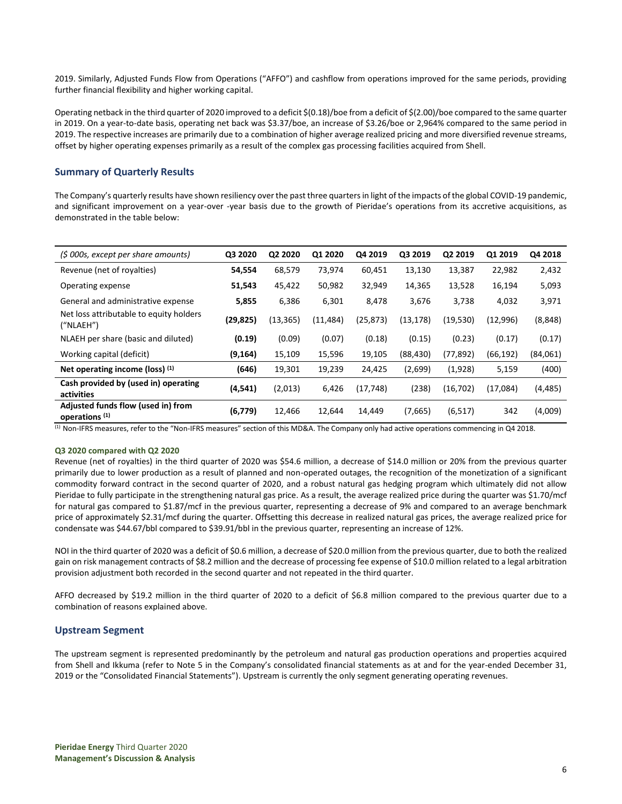2019. Similarly, Adjusted Funds Flow from Operations ("AFFO") and cashflow from operations improved for the same periods, providing further financial flexibility and higher working capital.

Operating netback in the third quarter of 2020 improved to a deficit \$(0.18)/boe from a deficit of \$(2.00)/boe compared to the same quarter in 2019. On a year-to-date basis, operating net back was \$3.37/boe, an increase of \$3.26/boe or 2,964% compared to the same period in 2019. The respective increases are primarily due to a combination of higher average realized pricing and more diversified revenue streams, offset by higher operating expenses primarily as a result of the complex gas processing facilities acquired from Shell.

# **Summary of Quarterly Results**

The Company's quarterly results have shown resiliency over the past three quarters in light of the impacts of the global COVID-19 pandemic, and significant improvement on a year-over -year basis due to the growth of Pieridae's operations from its accretive acquisitions, as demonstrated in the table below:

| (\$ 000s, except per share amounts)                             | Q3 2020   | Q2 2020   | Q1 2020   | Q4 2019   | Q3 2019   | Q2 2019   | Q1 2019   | Q4 2018  |
|-----------------------------------------------------------------|-----------|-----------|-----------|-----------|-----------|-----------|-----------|----------|
| Revenue (net of royalties)                                      | 54,554    | 68,579    | 73,974    | 60,451    | 13,130    | 13,387    | 22,982    | 2,432    |
| Operating expense                                               | 51,543    | 45,422    | 50,982    | 32,949    | 14,365    | 13,528    | 16,194    | 5,093    |
| General and administrative expense                              | 5,855     | 6,386     | 6,301     | 8,478     | 3,676     | 3,738     | 4,032     | 3,971    |
| Net loss attributable to equity holders<br>(''NLAEH'')          | (29, 825) | (13, 365) | (11, 484) | (25, 873) | (13, 178) | (19,530)  | (12,996)  | (8, 848) |
| NLAEH per share (basic and diluted)                             | (0.19)    | (0.09)    | (0.07)    | (0.18)    | (0.15)    | (0.23)    | (0.17)    | (0.17)   |
| Working capital (deficit)                                       | (9, 164)  | 15,109    | 15,596    | 19,105    | (88, 430) | (77, 892) | (66, 192) | (84,061) |
| Net operating income (loss) $(1)$                               | (646)     | 19,301    | 19,239    | 24,425    | (2,699)   | (1,928)   | 5,159     | (400)    |
| Cash provided by (used in) operating<br>activities              | (4, 541)  | (2,013)   | 6,426     | (17, 748) | (238)     | (16, 702) | (17,084)  | (4, 485) |
| Adjusted funds flow (used in) from<br>operations <sup>(1)</sup> | (6,779)   | 12.466    | 12,644    | 14,449    | (7,665)   | (6, 517)  | 342       | (4,009)  |

(1) Non-IFRS measures, refer to the "Non-IFRS measures" section of this MD&A. The Company only had active operations commencing in Q4 2018.

### **Q3 2020 compared with Q2 2020**

Revenue (net of royalties) in the third quarter of 2020 was \$54.6 million, a decrease of \$14.0 million or 20% from the previous quarter primarily due to lower production as a result of planned and non-operated outages, the recognition of the monetization of a significant commodity forward contract in the second quarter of 2020, and a robust natural gas hedging program which ultimately did not allow Pieridae to fully participate in the strengthening natural gas price. As a result, the average realized price during the quarter was \$1.70/mcf for natural gas compared to \$1.87/mcf in the previous quarter, representing a decrease of 9% and compared to an average benchmark price of approximately \$2.31/mcf during the quarter. Offsetting this decrease in realized natural gas prices, the average realized price for condensate was \$44.67/bbl compared to \$39.91/bbl in the previous quarter, representing an increase of 12%.

NOI in the third quarter of 2020 was a deficit of \$0.6 million, a decrease of \$20.0 million from the previous quarter, due to both the realized gain on risk management contracts of \$8.2 million and the decrease of processing fee expense of \$10.0 million related to a legal arbitration provision adjustment both recorded in the second quarter and not repeated in the third quarter.

AFFO decreased by \$19.2 million in the third quarter of 2020 to a deficit of \$6.8 million compared to the previous quarter due to a combination of reasons explained above.

# **Upstream Segment**

The upstream segment is represented predominantly by the petroleum and natural gas production operations and properties acquired from Shell and Ikkuma (refer to Note 5 in the Company's consolidated financial statements as at and for the year-ended December 31, 2019 or the "Consolidated Financial Statements"). Upstream is currently the only segment generating operating revenues.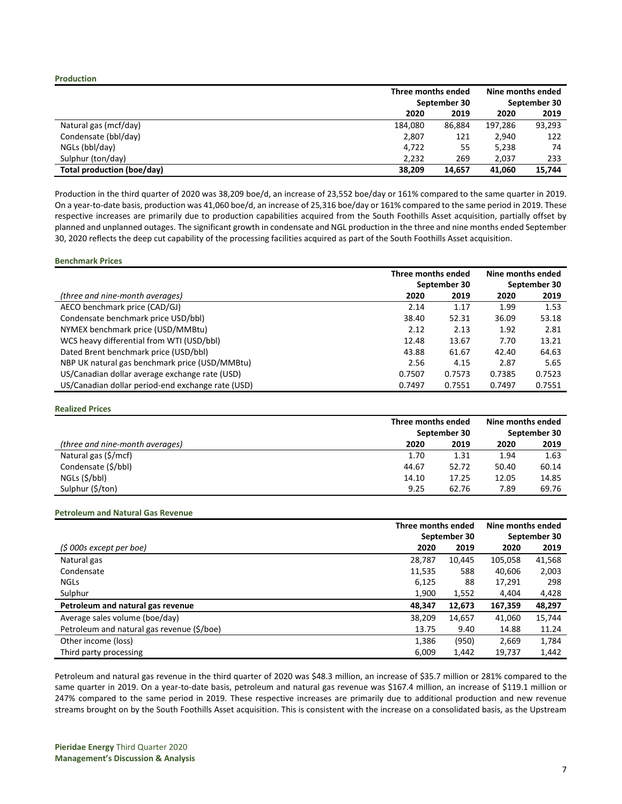#### **Production**

|                            | Three months ended |              | Nine months ended |              |
|----------------------------|--------------------|--------------|-------------------|--------------|
|                            |                    | September 30 |                   | September 30 |
|                            | 2020               | 2019         | 2020              | 2019         |
| Natural gas (mcf/day)      | 184.080            | 86.884       | 197.286           | 93,293       |
| Condensate (bbl/day)       | 2,807              | 121          | 2,940             | 122          |
| NGLs (bbl/day)             | 4,722              | 55           | 5,238             | 74           |
| Sulphur (ton/day)          | 2.232              | 269          | 2,037             | 233          |
| Total production (boe/day) | 38,209             | 14.657       | 41,060            | 15,744       |

Production in the third quarter of 2020 was 38,209 boe/d, an increase of 23,552 boe/day or 161% compared to the same quarter in 2019. On a year-to-date basis, production was 41,060 boe/d, an increase of 25,316 boe/day or 161% compared to the same period in 2019. These respective increases are primarily due to production capabilities acquired from the South Foothills Asset acquisition, partially offset by planned and unplanned outages. The significant growth in condensate and NGL production in the three and nine months ended September 30, 2020 reflects the deep cut capability of the processing facilities acquired as part of the South Foothills Asset acquisition.

### **Benchmark Prices**

|                                                   | Three months ended |              | Nine months ended |              |
|---------------------------------------------------|--------------------|--------------|-------------------|--------------|
|                                                   |                    | September 30 |                   | September 30 |
| (three and nine-month averages)                   | 2020               | 2019         | 2020              | 2019         |
| AECO benchmark price (CAD/GJ)                     | 2.14               | 1.17         | 1.99              | 1.53         |
| Condensate benchmark price USD/bbl)               | 38.40              | 52.31        | 36.09             | 53.18        |
| NYMEX benchmark price (USD/MMBtu)                 | 2.12               | 2.13         | 1.92              | 2.81         |
| WCS heavy differential from WTI (USD/bbl)         | 12.48              | 13.67        | 7.70              | 13.21        |
| Dated Brent benchmark price (USD/bbl)             | 43.88              | 61.67        | 42.40             | 64.63        |
| NBP UK natural gas benchmark price (USD/MMBtu)    | 2.56               | 4.15         | 2.87              | 5.65         |
| US/Canadian dollar average exchange rate (USD)    | 0.7507             | 0.7573       | 0.7385            | 0.7523       |
| US/Canadian dollar period-end exchange rate (USD) | 0.7497             | 0.7551       | 0.7497            | 0.7551       |

#### **Realized Prices**

|                                 | Three months ended<br>September 30 |       | Nine months ended<br>September 30 |       |
|---------------------------------|------------------------------------|-------|-----------------------------------|-------|
|                                 |                                    |       |                                   |       |
| (three and nine-month averages) | 2020                               | 2019  | 2020                              | 2019  |
| Natural gas (\$/mcf)            | 1.70                               | 1.31  | 1.94                              | 1.63  |
| Condensate (\$/bbl)             | 44.67                              | 52.72 | 50.40                             | 60.14 |
| NGLs (\$/bbl)                   | 14.10                              | 17.25 | 12.05                             | 14.85 |
| Sulphur (\$/ton)                | 9.25                               | 62.76 | 7.89                              | 69.76 |

#### **Petroleum and Natural Gas Revenue**

|                                            | Three months ended |        | Nine months ended |        |
|--------------------------------------------|--------------------|--------|-------------------|--------|
|                                            | September 30       |        | September 30      |        |
| (\$ 000s except per boe)                   | 2020               | 2019   | 2020              | 2019   |
| Natural gas                                | 28,787             | 10.445 | 105.058           | 41,568 |
| Condensate                                 | 11,535             | 588    | 40,606            | 2,003  |
| <b>NGLS</b>                                | 6,125              | 88     | 17,291            | 298    |
| Sulphur                                    | 1,900              | 1,552  | 4.404             | 4,428  |
| Petroleum and natural gas revenue          | 48,347             | 12,673 | 167,359           | 48,297 |
| Average sales volume (boe/day)             | 38,209             | 14,657 | 41,060            | 15,744 |
| Petroleum and natural gas revenue (\$/boe) | 13.75              | 9.40   | 14.88             | 11.24  |
| Other income (loss)                        | 1,386              | (950)  | 2,669             | 1,784  |
| Third party processing                     | 6,009              | 1,442  | 19,737            | 1,442  |

Petroleum and natural gas revenue in the third quarter of 2020 was \$48.3 million, an increase of \$35.7 million or 281% compared to the same quarter in 2019. On a year-to-date basis, petroleum and natural gas revenue was \$167.4 million, an increase of \$119.1 million or 247% compared to the same period in 2019. These respective increases are primarily due to additional production and new revenue streams brought on by the South Foothills Asset acquisition. This is consistent with the increase on a consolidated basis, as the Upstream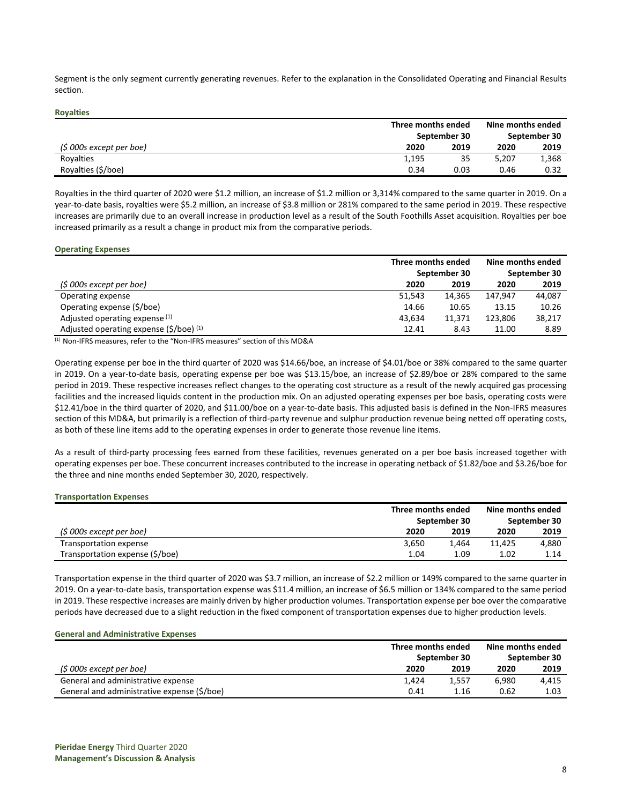Segment is the only segment currently generating revenues. Refer to the explanation in the Consolidated Operating and Financial Results section.

#### **Royalties**

|                          | Three months ended | September 30 | Nine months ended<br>September 30 |       |
|--------------------------|--------------------|--------------|-----------------------------------|-------|
| (\$ 000s except per boe) | 2020               | 2019         | 2020                              | 2019  |
| Royalties                | 1,195              | 35           | 5.207                             | 1,368 |
| Royalties (\$/boe)       | 0.34               | 0.03         | 0.46                              | 0.32  |

Royalties in the third quarter of 2020 were \$1.2 million, an increase of \$1.2 million or 3,314% compared to the same quarter in 2019. On a year-to-date basis, royalties were \$5.2 million, an increase of \$3.8 million or 281% compared to the same period in 2019. These respective increases are primarily due to an overall increase in production level as a result of the South Foothills Asset acquisition. Royalties per boe increased primarily as a result a change in product mix from the comparative periods.

#### **Operating Expenses**

|                                                        | Three months ended |        | Nine months ended<br>September 30 |        |
|--------------------------------------------------------|--------------------|--------|-----------------------------------|--------|
|                                                        | September 30       |        |                                   |        |
| $(5000s$ except per boe)                               | 2020               | 2019   | 2020                              | 2019   |
| Operating expense                                      | 51,543             | 14.365 | 147.947                           | 44.087 |
| Operating expense (\$/boe)                             | 14.66              | 10.65  | 13.15                             | 10.26  |
| Adjusted operating expense (1)                         | 43.634             | 11.371 | 123.806                           | 38,217 |
| Adjusted operating expense $(\frac{2}{5})$ (boe) $(1)$ | 12.41              | 8.43   | 11.00                             | 8.89   |

(1) Non-IFRS measures, refer to the "Non-IFRS measures" section of this MD&A

Operating expense per boe in the third quarter of 2020 was \$14.66/boe, an increase of \$4.01/boe or 38% compared to the same quarter in 2019. On a year-to-date basis, operating expense per boe was \$13.15/boe, an increase of \$2.89/boe or 28% compared to the same period in 2019. These respective increases reflect changes to the operating cost structure as a result of the newly acquired gas processing facilities and the increased liquids content in the production mix. On an adjusted operating expenses per boe basis, operating costs were \$12.41/boe in the third quarter of 2020, and \$11.00/boe on a year-to-date basis. This adjusted basis is defined in the Non-IFRS measures section of this MD&A, but primarily is a reflection of third-party revenue and sulphur production revenue being netted off operating costs, as both of these line items add to the operating expenses in order to generate those revenue line items.

As a result of third-party processing fees earned from these facilities, revenues generated on a per boe basis increased together with operating expenses per boe. These concurrent increases contributed to the increase in operating netback of \$1.82/boe and \$3.26/boe for the three and nine months ended September 30, 2020, respectively.

#### **Transportation Expenses**

|                                 |              | Three months ended |        | Nine months ended |
|---------------------------------|--------------|--------------------|--------|-------------------|
|                                 | September 30 | September 30       |        |                   |
| (\$ 000s except per boe)        | 2020         | 2019               | 2020   | 2019              |
| Transportation expense          | 3.650        | 1.464              | 11.425 | 4.880             |
| Transportation expense (\$/boe) | 1.04         | 1.09               | 1.02   | 1.14              |

Transportation expense in the third quarter of 2020 was \$3.7 million, an increase of \$2.2 million or 149% compared to the same quarter in 2019. On a year-to-date basis, transportation expense was \$11.4 million, an increase of \$6.5 million or 134% compared to the same period in 2019. These respective increases are mainly driven by higher production volumes. Transportation expense per boe over the comparative periods have decreased due to a slight reduction in the fixed component of transportation expenses due to higher production levels.

#### **General and Administrative Expenses**

|                                             | Three months ended<br>September 30 |       | Nine months ended<br>September 30 |       |
|---------------------------------------------|------------------------------------|-------|-----------------------------------|-------|
|                                             |                                    |       |                                   |       |
| (\$ 000s except per boe)                    | 2020                               | 2019  | 2020                              | 2019  |
| General and administrative expense          | 1.424                              | 1.557 | 6.980                             | 4.415 |
| General and administrative expense (\$/boe) | 0.41                               | 1.16  | 0.62                              | 1.03  |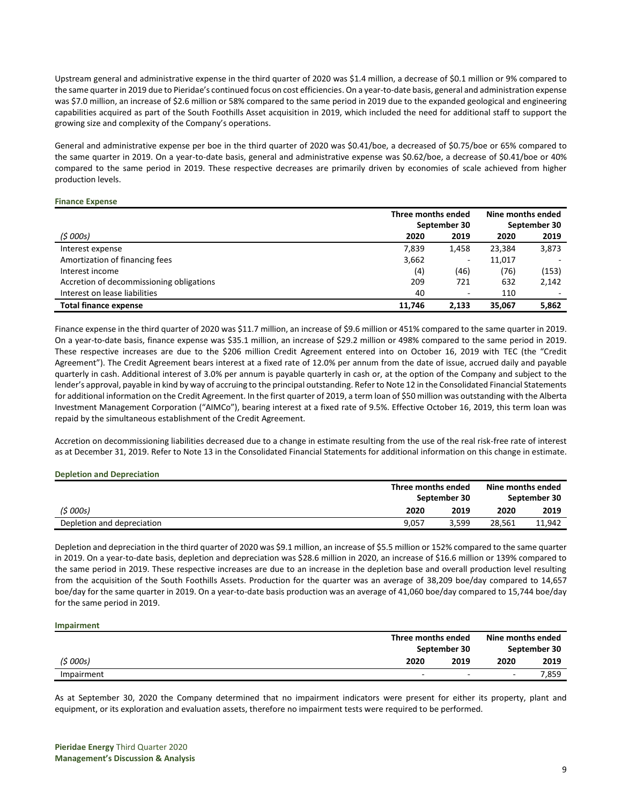Upstream general and administrative expense in the third quarter of 2020 was \$1.4 million, a decrease of \$0.1 million or 9% compared to the same quarter in 2019 due to Pieridae's continued focus on cost efficiencies. On a year-to-date basis, general and administration expense was \$7.0 million, an increase of \$2.6 million or 58% compared to the same period in 2019 due to the expanded geological and engineering capabilities acquired as part of the South Foothills Asset acquisition in 2019, which included the need for additional staff to support the growing size and complexity of the Company's operations.

General and administrative expense per boe in the third quarter of 2020 was \$0.41/boe, a decreased of \$0.75/boe or 65% compared to the same quarter in 2019. On a year-to-date basis, general and administrative expense was \$0.62/boe, a decrease of \$0.41/boe or 40% compared to the same period in 2019. These respective decreases are primarily driven by economies of scale achieved from higher production levels.

#### **Finance Expense**

|                                          | Three months ended |                          | Nine months ended |              |
|------------------------------------------|--------------------|--------------------------|-------------------|--------------|
|                                          |                    | September 30             |                   | September 30 |
| (5000s)                                  | 2020               | 2019                     | 2020              | 2019         |
| Interest expense                         | 7.839              | 1,458                    | 23,384            | 3,873        |
| Amortization of financing fees           | 3,662              | $\overline{\phantom{a}}$ | 11,017            |              |
| Interest income                          | (4)                | (46)                     | (76)              | (153)        |
| Accretion of decommissioning obligations | 209                | 721                      | 632               | 2,142        |
| Interest on lease liabilities            | 40                 | $\overline{\phantom{a}}$ | 110               |              |
| <b>Total finance expense</b>             | 11.746             | 2.133                    | 35.067            | 5,862        |

Finance expense in the third quarter of 2020 was \$11.7 million, an increase of \$9.6 million or 451% compared to the same quarter in 2019. On a year-to-date basis, finance expense was \$35.1 million, an increase of \$29.2 million or 498% compared to the same period in 2019. These respective increases are due to the \$206 million Credit Agreement entered into on October 16, 2019 with TEC (the "Credit Agreement"). The Credit Agreement bears interest at a fixed rate of 12.0% per annum from the date of issue, accrued daily and payable quarterly in cash. Additional interest of 3.0% per annum is payable quarterly in cash or, at the option of the Company and subject to the lender's approval, payable in kind by way of accruing to the principal outstanding. Refer to Note 12 in the Consolidated Financial Statements for additional information on the Credit Agreement. In the first quarter of 2019, a term loan of \$50 million was outstanding with the Alberta Investment Management Corporation ("AIMCo"), bearing interest at a fixed rate of 9.5%. Effective October 16, 2019, this term loan was repaid by the simultaneous establishment of the Credit Agreement.

Accretion on decommissioning liabilities decreased due to a change in estimate resulting from the use of the real risk-free rate of interest as at December 31, 2019. Refer to Note 13 in the Consolidated Financial Statements for additional information on this change in estimate.

### **Depletion and Depreciation**

|                            |       | Three months ended<br>September 30 |        | Nine months ended<br>September 30 |
|----------------------------|-------|------------------------------------|--------|-----------------------------------|
| (5000s)                    | 2020  | 2019                               | 2020   | 2019                              |
| Depletion and depreciation | 9,057 | 3.599                              | 28,561 | 11.942                            |

Depletion and depreciation in the third quarter of 2020 was \$9.1 million, an increase of \$5.5 million or 152% compared to the same quarter in 2019. On a year-to-date basis, depletion and depreciation was \$28.6 million in 2020, an increase of \$16.6 million or 139% compared to the same period in 2019. These respective increases are due to an increase in the depletion base and overall production level resulting from the acquisition of the South Foothills Assets. Production for the quarter was an average of 38,209 boe/day compared to 14,657 boe/day for the same quarter in 2019. On a year-to-date basis production was an average of 41,060 boe/day compared to 15,744 boe/day for the same period in 2019.

#### **Impairment**

|            | Three months ended                                   | Nine months ended        |              |
|------------|------------------------------------------------------|--------------------------|--------------|
|            | September 30                                         |                          | September 30 |
| (5000s)    | 2020<br>2019                                         | 2020                     | 2019         |
| Impairment | $\overline{\phantom{a}}$<br>$\overline{\phantom{a}}$ | $\overline{\phantom{0}}$ | 7.859        |

As at September 30, 2020 the Company determined that no impairment indicators were present for either its property, plant and equipment, or its exploration and evaluation assets, therefore no impairment tests were required to be performed.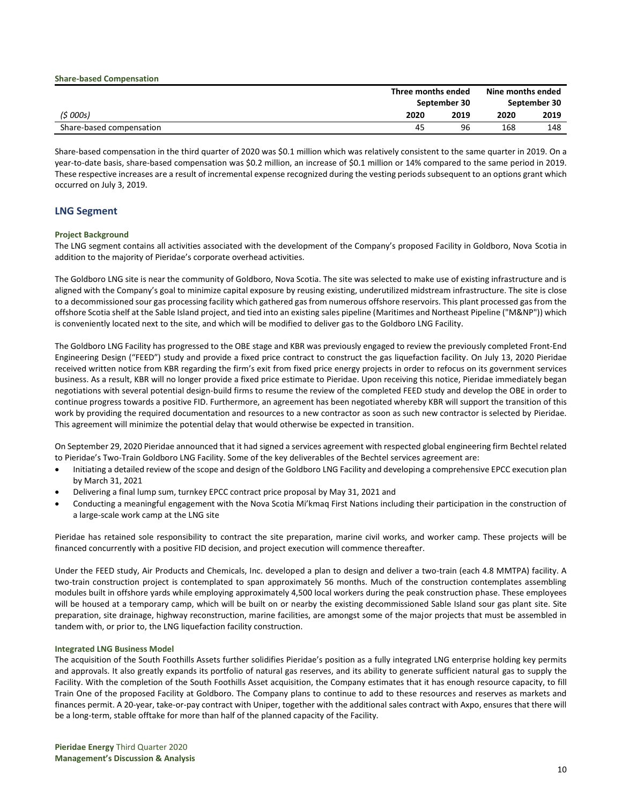|                          |      | Three months ended<br>September 30 |      | Nine months ended<br>September 30 |
|--------------------------|------|------------------------------------|------|-----------------------------------|
| (5000s)                  | 2020 | 2019                               | 2020 | 2019                              |
| Share-based compensation | 45   | 96                                 | 168  | 148                               |

Share-based compensation in the third quarter of 2020 was \$0.1 million which was relatively consistent to the same quarter in 2019. On a year-to-date basis, share-based compensation was \$0.2 million, an increase of \$0.1 million or 14% compared to the same period in 2019. These respective increases are a result of incremental expense recognized during the vesting periods subsequent to an options grant which occurred on July 3, 2019.

# **LNG Segment**

# **Project Background**

**Share-based Compensation**

The LNG segment contains all activities associated with the development of the Company's proposed Facility in Goldboro, Nova Scotia in addition to the majority of Pieridae's corporate overhead activities.

The Goldboro LNG site is near the community of Goldboro, Nova Scotia. The site was selected to make use of existing infrastructure and is aligned with the Company's goal to minimize capital exposure by reusing existing, underutilized midstream infrastructure. The site is close to a decommissioned sour gas processing facility which gathered gas from numerous offshore reservoirs. This plant processed gas from the offshore Scotia shelf at the Sable Island project, and tied into an existing sales pipeline (Maritimes and Northeast Pipeline ("M&NP")) which is conveniently located next to the site, and which will be modified to deliver gas to the Goldboro LNG Facility.

The Goldboro LNG Facility has progressed to the OBE stage and KBR was previously engaged to review the previously completed Front-End Engineering Design ("FEED") study and provide a fixed price contract to construct the gas liquefaction facility. On July 13, 2020 Pieridae received written notice from KBR regarding the firm's exit from fixed price energy projects in order to refocus on its government services business. As a result, KBR will no longer provide a fixed price estimate to Pieridae. Upon receiving this notice, Pieridae immediately began negotiations with several potential design-build firms to resume the review of the completed FEED study and develop the OBE in order to continue progress towards a positive FID. Furthermore, an agreement has been negotiated whereby KBR will support the transition of this work by providing the required documentation and resources to a new contractor as soon as such new contractor is selected by Pieridae. This agreement will minimize the potential delay that would otherwise be expected in transition.

On September 29, 2020 Pieridae announced that it had signed a services agreement with respected global engineering firm Bechtel related to Pieridae's Two-Train Goldboro LNG Facility. Some of the key deliverables of the Bechtel services agreement are:

- Initiating a detailed review of the scope and design of the Goldboro LNG Facility and developing a comprehensive EPCC execution plan by March 31, 2021
- Delivering a final lump sum, turnkey EPCC contract price proposal by May 31, 2021 and
- Conducting a meaningful engagement with the Nova Scotia Mi'kmaq First Nations including their participation in the construction of a large-scale work camp at the LNG site

Pieridae has retained sole responsibility to contract the site preparation, marine civil works, and worker camp. These projects will be financed concurrently with a positive FID decision, and project execution will commence thereafter.

Under the FEED study, Air Products and Chemicals, Inc. developed a plan to design and deliver a two-train (each 4.8 MMTPA) facility. A two-train construction project is contemplated to span approximately 56 months. Much of the construction contemplates assembling modules built in offshore yards while employing approximately 4,500 local workers during the peak construction phase. These employees will be housed at a temporary camp, which will be built on or nearby the existing decommissioned Sable Island sour gas plant site. Site preparation, site drainage, highway reconstruction, marine facilities, are amongst some of the major projects that must be assembled in tandem with, or prior to, the LNG liquefaction facility construction.

### **Integrated LNG Business Model**

The acquisition of the South Foothills Assets further solidifies Pieridae's position as a fully integrated LNG enterprise holding key permits and approvals. It also greatly expands its portfolio of natural gas reserves, and its ability to generate sufficient natural gas to supply the Facility. With the completion of the South Foothills Asset acquisition, the Company estimates that it has enough resource capacity, to fill Train One of the proposed Facility at Goldboro. The Company plans to continue to add to these resources and reserves as markets and finances permit. A 20-year, take-or-pay contract with Uniper, together with the additional sales contract with Axpo, ensures that there will be a long-term, stable offtake for more than half of the planned capacity of the Facility.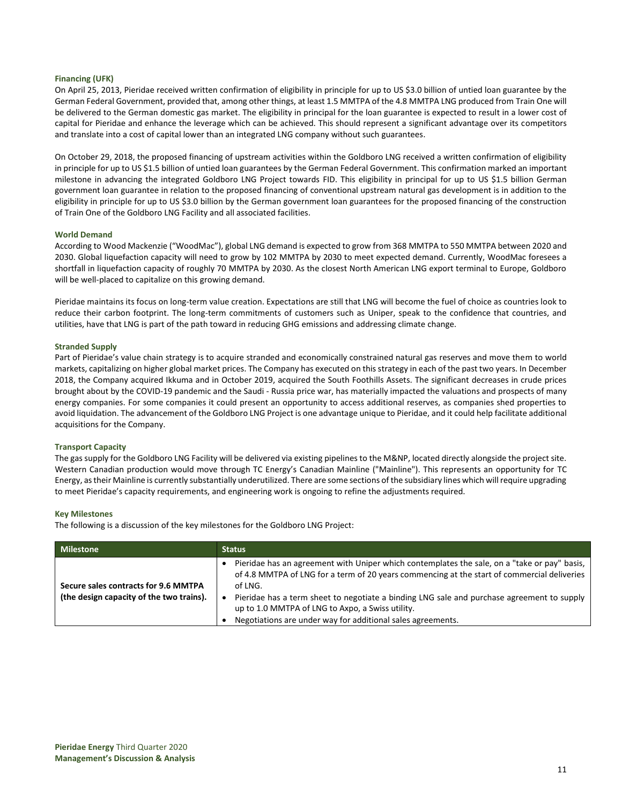### **Financing (UFK)**

On April 25, 2013, Pieridae received written confirmation of eligibility in principle for up to US \$3.0 billion of untied loan guarantee by the German Federal Government, provided that, among other things, at least 1.5 MMTPA of the 4.8 MMTPA LNG produced from Train One will be delivered to the German domestic gas market. The eligibility in principal for the loan guarantee is expected to result in a lower cost of capital for Pieridae and enhance the leverage which can be achieved. This should represent a significant advantage over its competitors and translate into a cost of capital lower than an integrated LNG company without such guarantees.

On October 29, 2018, the proposed financing of upstream activities within the Goldboro LNG received a written confirmation of eligibility in principle for up to US \$1.5 billion of untied loan guarantees by the German Federal Government. This confirmation marked an important milestone in advancing the integrated Goldboro LNG Project towards FID. This eligibility in principal for up to US \$1.5 billion German government loan guarantee in relation to the proposed financing of conventional upstream natural gas development is in addition to the eligibility in principle for up to US \$3.0 billion by the German government loan guarantees for the proposed financing of the construction of Train One of the Goldboro LNG Facility and all associated facilities.

### **World Demand**

According to Wood Mackenzie ("WoodMac"), global LNG demand is expected to grow from 368 MMTPA to 550 MMTPA between 2020 and 2030. Global liquefaction capacity will need to grow by 102 MMTPA by 2030 to meet expected demand. Currently, WoodMac foresees a shortfall in liquefaction capacity of roughly 70 MMTPA by 2030. As the closest North American LNG export terminal to Europe, Goldboro will be well-placed to capitalize on this growing demand.

Pieridae maintains its focus on long-term value creation. Expectations are still that LNG will become the fuel of choice as countries look to reduce their carbon footprint. The long-term commitments of customers such as Uniper, speak to the confidence that countries, and utilities, have that LNG is part of the path toward in reducing GHG emissions and addressing climate change.

### **Stranded Supply**

Part of Pieridae's value chain strategy is to acquire stranded and economically constrained natural gas reserves and move them to world markets, capitalizing on higher global market prices. The Company has executed on this strategy in each of the past two years. In December 2018, the Company acquired Ikkuma and in October 2019, acquired the South Foothills Assets. The significant decreases in crude prices brought about by the COVID-19 pandemic and the Saudi - Russia price war, has materially impacted the valuations and prospects of many energy companies. For some companies it could present an opportunity to access additional reserves, as companies shed properties to avoid liquidation. The advancement of the Goldboro LNG Project is one advantage unique to Pieridae, and it could help facilitate additional acquisitions for the Company.

### **Transport Capacity**

The gas supply for the Goldboro LNG Facility will be delivered via existing pipelines to the M&NP, located directly alongside the project site. Western Canadian production would move through TC Energy's Canadian Mainline ("Mainline"). This represents an opportunity for TC Energy, as their Mainline is currently substantially underutilized. There are some sections of the subsidiary lines which will require upgrading to meet Pieridae's capacity requirements, and engineering work is ongoing to refine the adjustments required.

### **Key Milestones**

The following is a discussion of the key milestones for the Goldboro LNG Project:

| <b>Milestone</b>                                                                 | <b>Status</b>                                                                                                                                                                                                                                                                                                                                                                                                           |
|----------------------------------------------------------------------------------|-------------------------------------------------------------------------------------------------------------------------------------------------------------------------------------------------------------------------------------------------------------------------------------------------------------------------------------------------------------------------------------------------------------------------|
| Secure sales contracts for 9.6 MMTPA<br>(the design capacity of the two trains). | Pieridae has an agreement with Uniper which contemplates the sale, on a "take or pay" basis,<br>of 4.8 MMTPA of LNG for a term of 20 years commencing at the start of commercial deliveries<br>of LNG.<br>Pieridae has a term sheet to negotiate a binding LNG sale and purchase agreement to supply<br>up to 1.0 MMTPA of LNG to Axpo, a Swiss utility.<br>Negotiations are under way for additional sales agreements. |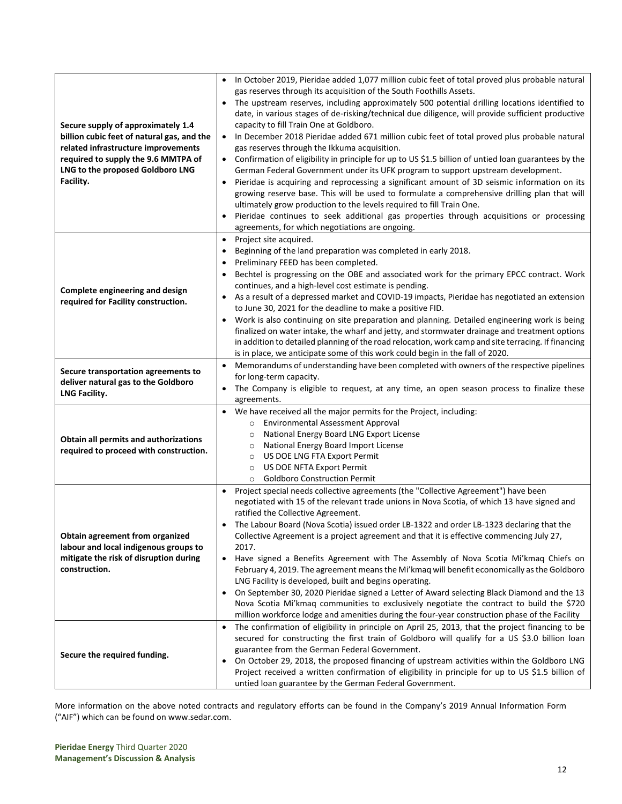| Secure supply of approximately 1.4<br>billion cubic feet of natural gas, and the<br>related infrastructure improvements<br>required to supply the 9.6 MMTPA of<br>LNG to the proposed Goldboro LNG<br>Facility. | In October 2019, Pieridae added 1,077 million cubic feet of total proved plus probable natural<br>gas reserves through its acquisition of the South Foothills Assets.<br>The upstream reserves, including approximately 500 potential drilling locations identified to<br>date, in various stages of de-risking/technical due diligence, will provide sufficient productive<br>capacity to fill Train One at Goldboro.<br>In December 2018 Pieridae added 671 million cubic feet of total proved plus probable natural<br>gas reserves through the Ikkuma acquisition.<br>Confirmation of eligibility in principle for up to US \$1.5 billion of untied loan guarantees by the<br>German Federal Government under its UFK program to support upstream development.<br>Pieridae is acquiring and reprocessing a significant amount of 3D seismic information on its<br>growing reserve base. This will be used to formulate a comprehensive drilling plan that will<br>ultimately grow production to the levels required to fill Train One.<br>Pieridae continues to seek additional gas properties through acquisitions or processing<br>agreements, for which negotiations are ongoing. |
|-----------------------------------------------------------------------------------------------------------------------------------------------------------------------------------------------------------------|------------------------------------------------------------------------------------------------------------------------------------------------------------------------------------------------------------------------------------------------------------------------------------------------------------------------------------------------------------------------------------------------------------------------------------------------------------------------------------------------------------------------------------------------------------------------------------------------------------------------------------------------------------------------------------------------------------------------------------------------------------------------------------------------------------------------------------------------------------------------------------------------------------------------------------------------------------------------------------------------------------------------------------------------------------------------------------------------------------------------------------------------------------------------------------------|
| Complete engineering and design<br>required for Facility construction.<br>Secure transportation agreements to<br>deliver natural gas to the Goldboro<br>LNG Facility.                                           | Project site acquired.<br>$\bullet$<br>Beginning of the land preparation was completed in early 2018.<br>$\bullet$<br>Preliminary FEED has been completed.<br>Bechtel is progressing on the OBE and associated work for the primary EPCC contract. Work<br>continues, and a high-level cost estimate is pending.<br>As a result of a depressed market and COVID-19 impacts, Pieridae has negotiated an extension<br>to June 30, 2021 for the deadline to make a positive FID.<br>Work is also continuing on site preparation and planning. Detailed engineering work is being<br>finalized on water intake, the wharf and jetty, and stormwater drainage and treatment options<br>in addition to detailed planning of the road relocation, work camp and site terracing. If financing<br>is in place, we anticipate some of this work could begin in the fall of 2020.<br>Memorandums of understanding have been completed with owners of the respective pipelines<br>for long-term capacity.<br>The Company is eligible to request, at any time, an open season process to finalize these                                                                                               |
| Obtain all permits and authorizations<br>required to proceed with construction.                                                                                                                                 | agreements.<br>We have received all the major permits for the Project, including:<br>$\bullet$<br><b>Environmental Assessment Approval</b><br>$\circ$<br>National Energy Board LNG Export License<br>$\circ$<br>National Energy Board Import License<br>$\circ$<br>US DOE LNG FTA Export Permit<br>$\circ$<br>US DOE NFTA Export Permit<br>$\circ$<br><b>Goldboro Construction Permit</b><br>$\circ$                                                                                                                                                                                                                                                                                                                                                                                                                                                                                                                                                                                                                                                                                                                                                                                     |
| Obtain agreement from organized<br>labour and local indigenous groups to<br>mitigate the risk of disruption during<br>construction.                                                                             | Project special needs collective agreements (the "Collective Agreement") have been<br>$\bullet$<br>negotiated with 15 of the relevant trade unions in Nova Scotia, of which 13 have signed and<br>ratified the Collective Agreement.<br>The Labour Board (Nova Scotia) issued order LB-1322 and order LB-1323 declaring that the<br>Collective Agreement is a project agreement and that it is effective commencing July 27,<br>2017.<br>Have signed a Benefits Agreement with The Assembly of Nova Scotia Mi'kmaq Chiefs on<br>$\bullet$<br>February 4, 2019. The agreement means the Mi'kmaq will benefit economically as the Goldboro<br>LNG Facility is developed, built and begins operating.<br>On September 30, 2020 Pieridae signed a Letter of Award selecting Black Diamond and the 13<br>$\bullet$<br>Nova Scotia Mi'kmaq communities to exclusively negotiate the contract to build the \$720<br>million workforce lodge and amenities during the four-year construction phase of the Facility                                                                                                                                                                               |
| Secure the required funding.                                                                                                                                                                                    | The confirmation of eligibility in principle on April 25, 2013, that the project financing to be<br>$\bullet$<br>secured for constructing the first train of Goldboro will qualify for a US \$3.0 billion loan<br>guarantee from the German Federal Government.<br>On October 29, 2018, the proposed financing of upstream activities within the Goldboro LNG<br>$\bullet$<br>Project received a written confirmation of eligibility in principle for up to US \$1.5 billion of<br>untied loan guarantee by the German Federal Government.                                                                                                                                                                                                                                                                                                                                                                                                                                                                                                                                                                                                                                               |

More information on the above noted contracts and regulatory efforts can be found in the Company's 2019 Annual Information Form ("AIF") which can be found on [www.sedar.com.](http://www.sedar.com/)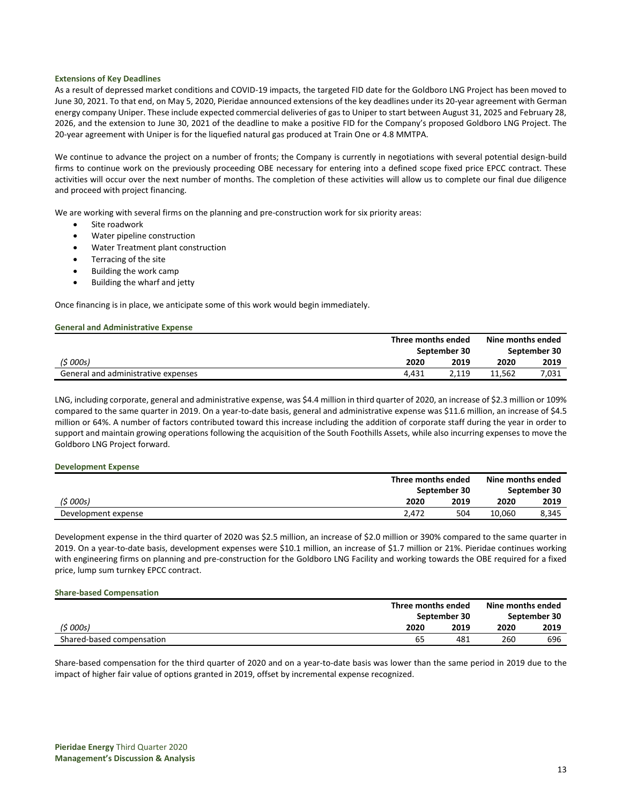### **Extensions of Key Deadlines**

As a result of depressed market conditions and COVID-19 impacts, the targeted FID date for the Goldboro LNG Project has been moved to June 30, 2021. To that end, on May 5, 2020, Pieridae announced extensions of the key deadlines under its 20-year agreement with German energy company Uniper. These include expected commercial deliveries of gas to Uniper to start between August 31, 2025 and February 28, 2026, and the extension to June 30, 2021 of the deadline to make a positive FID for the Company's proposed Goldboro LNG Project. The 20-year agreement with Uniper is for the liquefied natural gas produced at Train One or 4.8 MMTPA.

We continue to advance the project on a number of fronts; the Company is currently in negotiations with several potential design-build firms to continue work on the previously proceeding OBE necessary for entering into a defined scope fixed price EPCC contract. These activities will occur over the next number of months. The completion of these activities will allow us to complete our final due diligence and proceed with project financing.

We are working with several firms on the planning and pre-construction work for six priority areas:

- Site roadwork
- Water pipeline construction
- Water Treatment plant construction
- Terracing of the site
- Building the work camp
- Building the wharf and jetty

Once financing is in place, we anticipate some of this work would begin immediately.

#### **General and Administrative Expense**

|                                     |              | Three months ended |        | Nine months ended |
|-------------------------------------|--------------|--------------------|--------|-------------------|
|                                     | September 30 |                    |        | September 30      |
| (5000s)                             | 2020         | 2019               | 2020   | 2019              |
| General and administrative expenses | 4.431        | 2.119              | 11.562 | 7.031             |

LNG, including corporate, general and administrative expense, was \$4.4 million in third quarter of 2020, an increase of \$2.3 million or 109% compared to the same quarter in 2019. On a year-to-date basis, general and administrative expense was \$11.6 million, an increase of \$4.5 million or 64%. A number of factors contributed toward this increase including the addition of corporate staff during the year in order to support and maintain growing operations following the acquisition of the South Foothills Assets, while also incurring expenses to move the Goldboro LNG Project forward.

#### **Development Expense**

|                     | Three months ended | Nine months ended |              |
|---------------------|--------------------|-------------------|--------------|
|                     | September 30       |                   | September 30 |
| (5000s)             | 2020<br>2019       | 2020              | 2019         |
| Development expense | 504<br>2.472       | 10.060            | 8,345        |

Development expense in the third quarter of 2020 was \$2.5 million, an increase of \$2.0 million or 390% compared to the same quarter in 2019. On a year-to-date basis, development expenses were \$10.1 million, an increase of \$1.7 million or 21%. Pieridae continues working with engineering firms on planning and pre-construction for the Goldboro LNG Facility and working towards the OBE required for a fixed price, lump sum turnkey EPCC contract.

#### **Share-based Compensation**

|                           |              | Three months ended |      | Nine months ended |
|---------------------------|--------------|--------------------|------|-------------------|
|                           | September 30 |                    |      | September 30      |
| (\$ 000s)                 | 2020         | 2019               | 2020 | 2019              |
| Shared-based compensation | 65           | 481                | 260  | 696               |

Share-based compensation for the third quarter of 2020 and on a year-to-date basis was lower than the same period in 2019 due to the impact of higher fair value of options granted in 2019, offset by incremental expense recognized.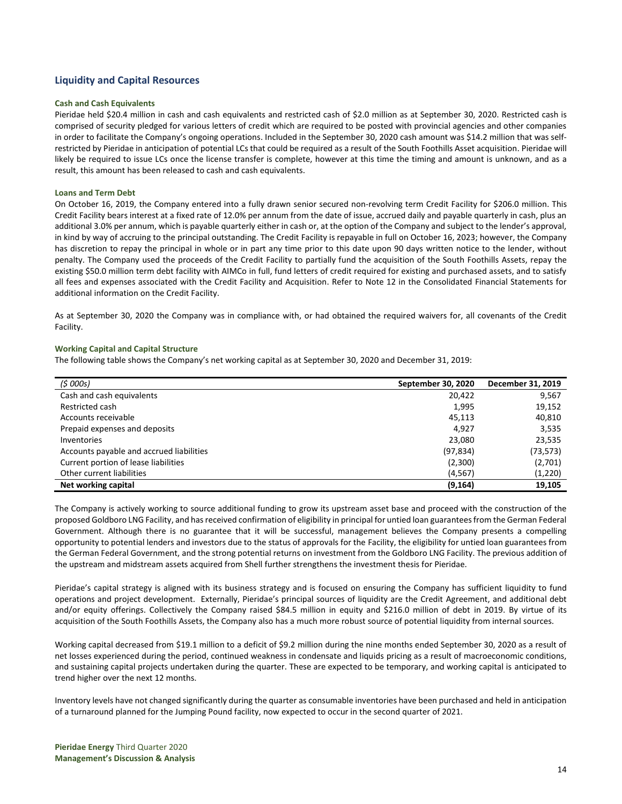# **Liquidity and Capital Resources**

#### **Cash and Cash Equivalents**

Pieridae held \$20.4 million in cash and cash equivalents and restricted cash of \$2.0 million as at September 30, 2020. Restricted cash is comprised of security pledged for various letters of credit which are required to be posted with provincial agencies and other companies in order to facilitate the Company's ongoing operations. Included in the September 30, 2020 cash amount was \$14.2 million that was selfrestricted by Pieridae in anticipation of potential LCs that could be required as a result of the South Foothills Asset acquisition. Pieridae will likely be required to issue LCs once the license transfer is complete, however at this time the timing and amount is unknown, and as a result, this amount has been released to cash and cash equivalents.

#### **Loans and Term Debt**

On October 16, 2019, the Company entered into a fully drawn senior secured non-revolving term Credit Facility for \$206.0 million. This Credit Facility bears interest at a fixed rate of 12.0% per annum from the date of issue, accrued daily and payable quarterly in cash, plus an additional 3.0% per annum, which is payable quarterly either in cash or, at the option of the Company and subject to the lender's approval, in kind by way of accruing to the principal outstanding. The Credit Facility is repayable in full on October 16, 2023; however, the Company has discretion to repay the principal in whole or in part any time prior to this date upon 90 days written notice to the lender, without penalty. The Company used the proceeds of the Credit Facility to partially fund the acquisition of the South Foothills Assets, repay the existing \$50.0 million term debt facility with AIMCo in full, fund letters of credit required for existing and purchased assets, and to satisfy all fees and expenses associated with the Credit Facility and Acquisition. Refer to Note 12 in the Consolidated Financial Statements for additional information on the Credit Facility.

As at September 30, 2020 the Company was in compliance with, or had obtained the required waivers for, all covenants of the Credit Facility.

#### **Working Capital and Capital Structure**

The following table shows the Company's net working capital as at September 30, 2020 and December 31, 2019:

| (5000s)                                  | September 30, 2020 | December 31, 2019 |
|------------------------------------------|--------------------|-------------------|
| Cash and cash equivalents                | 20,422             | 9,567             |
| Restricted cash                          | 1,995              | 19,152            |
| Accounts receivable                      | 45,113             | 40,810            |
| Prepaid expenses and deposits            | 4.927              | 3,535             |
| Inventories                              | 23,080             | 23,535            |
| Accounts payable and accrued liabilities | (97, 834)          | (73, 573)         |
| Current portion of lease liabilities     | (2,300)            | (2,701)           |
| Other current liabilities                | (4, 567)           | (1, 220)          |
| Net working capital                      | (9, 164)           | 19,105            |

The Company is actively working to source additional funding to grow its upstream asset base and proceed with the construction of the proposed Goldboro LNG Facility, and has received confirmation of eligibility in principal for untied loan guarantees from the German Federal Government. Although there is no guarantee that it will be successful, management believes the Company presents a compelling opportunity to potential lenders and investors due to the status of approvals for the Facility, the eligibility for untied loan guarantees from the German Federal Government, and the strong potential returns on investment from the Goldboro LNG Facility. The previous addition of the upstream and midstream assets acquired from Shell further strengthens the investment thesis for Pieridae.

Pieridae's capital strategy is aligned with its business strategy and is focused on ensuring the Company has sufficient liquidity to fund operations and project development. Externally, Pieridae's principal sources of liquidity are the Credit Agreement, and additional debt and/or equity offerings. Collectively the Company raised \$84.5 million in equity and \$216.0 million of debt in 2019. By virtue of its acquisition of the South Foothills Assets, the Company also has a much more robust source of potential liquidity from internal sources.

Working capital decreased from \$19.1 million to a deficit of \$9.2 million during the nine months ended September 30, 2020 as a result of net losses experienced during the period, continued weakness in condensate and liquids pricing as a result of macroeconomic conditions, and sustaining capital projects undertaken during the quarter. These are expected to be temporary, and working capital is anticipated to trend higher over the next 12 months.

Inventory levels have not changed significantly during the quarter as consumable inventories have been purchased and held in anticipation of a turnaround planned for the Jumping Pound facility, now expected to occur in the second quarter of 2021.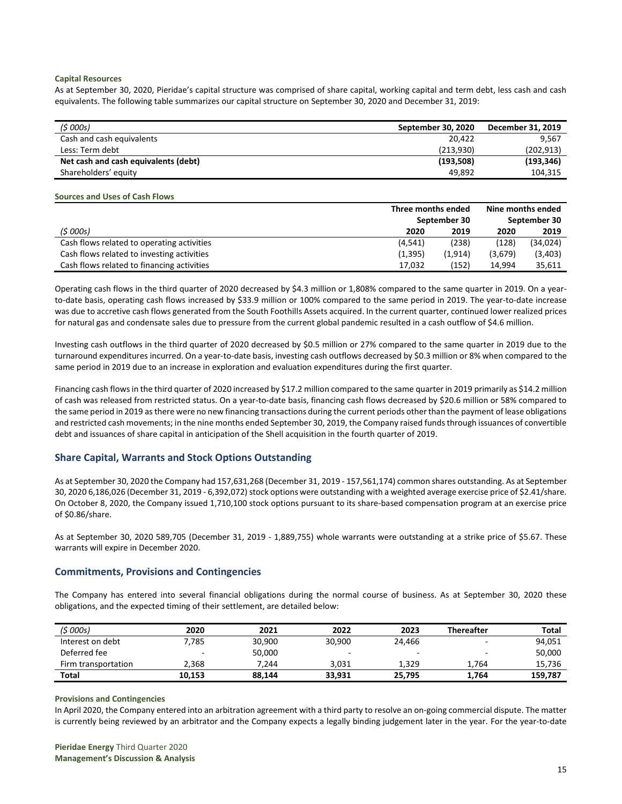### **Capital Resources**

As at September 30, 2020, Pieridae's capital structure was comprised of share capital, working capital and term debt, less cash and cash equivalents. The following table summarizes our capital structure on September 30, 2020 and December 31, 2019:

| (5000s)                              | September 30, 2020 | December 31, 2019 |
|--------------------------------------|--------------------|-------------------|
| Cash and cash equivalents            | 20.422             | 9.567             |
| Less: Term debt                      | (213.930)          | (202, 913)        |
| Net cash and cash equivalents (debt) | (193, 508)         | (193, 346)        |
| Shareholders' equity                 | 49.892             | 104.315           |

#### **Sources and Uses of Cash Flows**

|                                            | Three months ended |         | Nine months ended |              |
|--------------------------------------------|--------------------|---------|-------------------|--------------|
|                                            | September 30       |         |                   | September 30 |
| (5000s)                                    | 2020               | 2019    | 2020              | 2019         |
| Cash flows related to operating activities | (4, 541)           | (238)   | (128)             | (34,024)     |
| Cash flows related to investing activities | (1, 395)           | (1.914) | (3,679)           | (3,403)      |
| Cash flows related to financing activities | 17,032             | (152)   | 14.994            | 35.611       |

Operating cash flows in the third quarter of 2020 decreased by \$4.3 million or 1,808% compared to the same quarter in 2019. On a yearto-date basis, operating cash flows increased by \$33.9 million or 100% compared to the same period in 2019. The year-to-date increase was due to accretive cash flows generated from the South Foothills Assets acquired. In the current quarter, continued lower realized prices for natural gas and condensate sales due to pressure from the current global pandemic resulted in a cash outflow of \$4.6 million.

Investing cash outflows in the third quarter of 2020 decreased by \$0.5 million or 27% compared to the same quarter in 2019 due to the turnaround expenditures incurred. On a year-to-date basis, investing cash outflows decreased by \$0.3 million or 8% when compared to the same period in 2019 due to an increase in exploration and evaluation expenditures during the first quarter.

Financing cash flows in the third quarter of 2020 increased by \$17.2 million compared to the same quarter in 2019 primarily as \$14.2 million of cash was released from restricted status. On a year-to-date basis, financing cash flows decreased by \$20.6 million or 58% compared to the same period in 2019 as there were no new financing transactions during the current periods other than the payment of lease obligations and restricted cash movements; in the nine months ended September 30, 2019, the Company raised funds through issuances of convertible debt and issuances of share capital in anticipation of the Shell acquisition in the fourth quarter of 2019.

# **Share Capital, Warrants and Stock Options Outstanding**

As at September 30, 2020 the Company had 157,631,268 (December 31, 2019 - 157,561,174) common shares outstanding. As at September 30, 2020 6,186,026 (December 31, 2019 - 6,392,072) stock options were outstanding with a weighted average exercise price of \$2.41/share. On October 8, 2020, the Company issued 1,710,100 stock options pursuant to its share-based compensation program at an exercise price of \$0.86/share.

As at September 30, 2020 589,705 (December 31, 2019 - 1,889,755) whole warrants were outstanding at a strike price of \$5.67. These warrants will expire in December 2020.

# **Commitments, Provisions and Contingencies**

The Company has entered into several financial obligations during the normal course of business. As at September 30, 2020 these obligations, and the expected timing of their settlement, are detailed below:

| (\$ 000s)           | 2020   | 2021   | 2022   | 2023   | <b>Thereafter</b> | <b>Total</b> |
|---------------------|--------|--------|--------|--------|-------------------|--------------|
| Interest on debt    | 7.785  | 30.900 | 30.900 | 24.466 |                   | 94,051       |
| Deferred fee        | -      | 50,000 |        |        |                   | 50,000       |
| Firm transportation | 2.368  | 7.244  | 3.031  | 1.329  | 1.764             | 15,736       |
| <b>Total</b>        | 10,153 | 88.144 | 33.931 | 25,795 | 1.764             | 159,787      |

### **Provisions and Contingencies**

In April 2020, the Company entered into an arbitration agreement with a third party to resolve an on-going commercial dispute. The matter is currently being reviewed by an arbitrator and the Company expects a legally binding judgement later in the year. For the year-to-date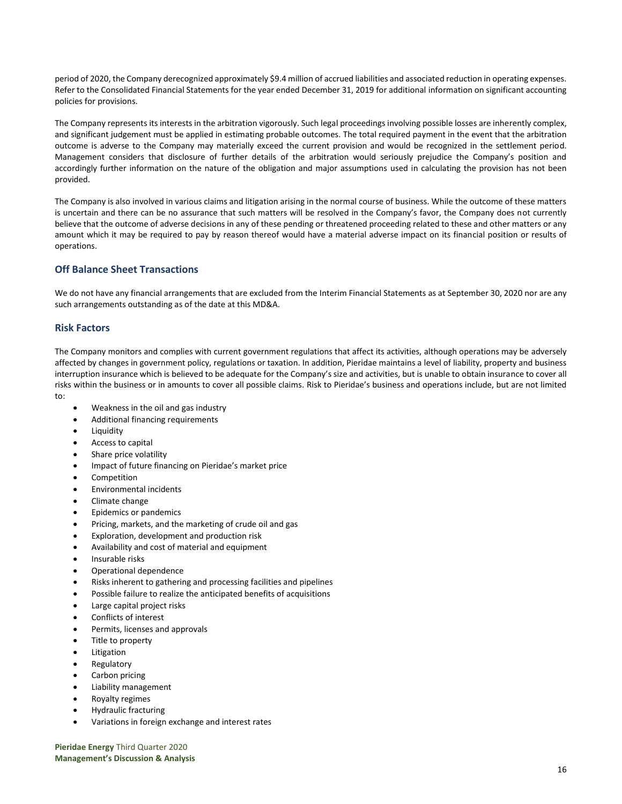period of 2020, the Company derecognized approximately \$9.4 million of accrued liabilities and associated reduction in operating expenses. Refer to the Consolidated Financial Statements for the year ended December 31, 2019 for additional information on significant accounting policies for provisions.

The Company represents its interests in the arbitration vigorously. Such legal proceedings involving possible losses are inherently complex, and significant judgement must be applied in estimating probable outcomes. The total required payment in the event that the arbitration outcome is adverse to the Company may materially exceed the current provision and would be recognized in the settlement period. Management considers that disclosure of further details of the arbitration would seriously prejudice the Company's position and accordingly further information on the nature of the obligation and major assumptions used in calculating the provision has not been provided.

The Company is also involved in various claims and litigation arising in the normal course of business. While the outcome of these matters is uncertain and there can be no assurance that such matters will be resolved in the Company's favor, the Company does not currently believe that the outcome of adverse decisions in any of these pending or threatened proceeding related to these and other matters or any amount which it may be required to pay by reason thereof would have a material adverse impact on its financial position or results of operations.

# **Off Balance Sheet Transactions**

We do not have any financial arrangements that are excluded from the Interim Financial Statements as at September 30, 2020 nor are any such arrangements outstanding as of the date at this MD&A.

# **Risk Factors**

The Company monitors and complies with current government regulations that affect its activities, although operations may be adversely affected by changes in government policy, regulations or taxation. In addition, Pieridae maintains a level of liability, property and business interruption insurance which is believed to be adequate for the Company's size and activities, but is unable to obtain insurance to cover all risks within the business or in amounts to cover all possible claims. Risk to Pieridae's business and operations include, but are not limited to:

- Weakness in the oil and gas industry
- Additional financing requirements
- **Liquidity**
- Access to capital
- Share price volatility
- Impact of future financing on Pieridae's market price
- Competition
- Environmental incidents
- Climate change
- Epidemics or pandemics
- Pricing, markets, and the marketing of crude oil and gas
- Exploration, development and production risk
- Availability and cost of material and equipment
- Insurable risks
- Operational dependence
- Risks inherent to gathering and processing facilities and pipelines
- Possible failure to realize the anticipated benefits of acquisitions
- Large capital project risks
- Conflicts of interest
- Permits, licenses and approvals
- Title to property
- **Litigation**
- **Regulatory**
- Carbon pricing
- Liability management
- Royalty regimes
- Hydraulic fracturing
- Variations in foreign exchange and interest rates

**Pieridae Energy** Third Quarter 2020 **Management's Discussion & Analysis**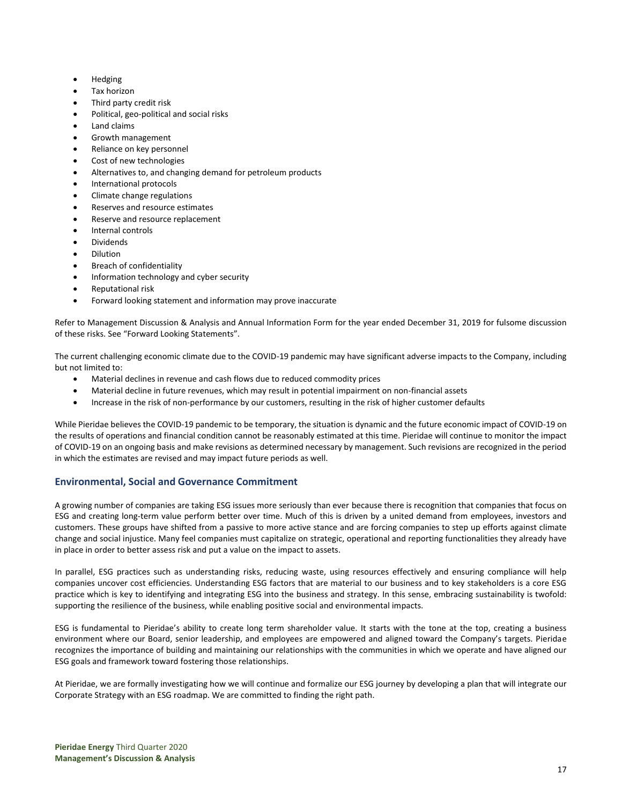- Hedging
- Tax horizon
- Third party credit risk
- Political, geo-political and social risks
- Land claims
- Growth management
- Reliance on key personnel
- Cost of new technologies
- Alternatives to, and changing demand for petroleum products
- International protocols
- Climate change regulations
- Reserves and resource estimates
- Reserve and resource replacement
- Internal controls
- **Dividends**
- Dilution
- Breach of confidentiality
- Information technology and cyber security
- Reputational risk
- Forward looking statement and information may prove inaccurate

Refer to Management Discussion & Analysis and Annual Information Form for the year ended December 31, 2019 for fulsome discussion of these risks. See "Forward Looking Statements".

The current challenging economic climate due to the COVID-19 pandemic may have significant adverse impacts to the Company, including but not limited to:

- Material declines in revenue and cash flows due to reduced commodity prices
- Material decline in future revenues, which may result in potential impairment on non-financial assets
- Increase in the risk of non-performance by our customers, resulting in the risk of higher customer defaults

While Pieridae believes the COVID-19 pandemic to be temporary, the situation is dynamic and the future economic impact of COVID-19 on the results of operations and financial condition cannot be reasonably estimated at this time. Pieridae will continue to monitor the impact of COVID-19 on an ongoing basis and make revisions as determined necessary by management. Such revisions are recognized in the period in which the estimates are revised and may impact future periods as well.

# **Environmental, Social and Governance Commitment**

A growing number of companies are taking ESG issues more seriously than ever because there is recognition that companies that focus on ESG and creating long-term value perform better over time. Much of this is driven by a united demand from employees, investors and customers. These groups have shifted from a passive to more active stance and are forcing companies to step up efforts against climate change and social injustice. Many feel companies must capitalize on strategic, operational and reporting functionalities they already have in place in order to better assess risk and put a value on the impact to assets.

In parallel, ESG practices such as understanding risks, reducing waste, using resources effectively and ensuring compliance will help companies uncover cost efficiencies. Understanding ESG factors that are material to our business and to key stakeholders is a core ESG practice which is key to identifying and integrating ESG into the business and strategy. In this sense, embracing sustainability is twofold: supporting the resilience of the business, while enabling positive social and environmental impacts.

ESG is fundamental to Pieridae's ability to create long term shareholder value. It starts with the tone at the top, creating a business environment where our Board, senior leadership, and employees are empowered and aligned toward the Company's targets. Pieridae recognizes the importance of building and maintaining our relationships with the communities in which we operate and have aligned our ESG goals and framework toward fostering those relationships.

At Pieridae, we are formally investigating how we will continue and formalize our ESG journey by developing a plan that will integrate our Corporate Strategy with an ESG roadmap. We are committed to finding the right path.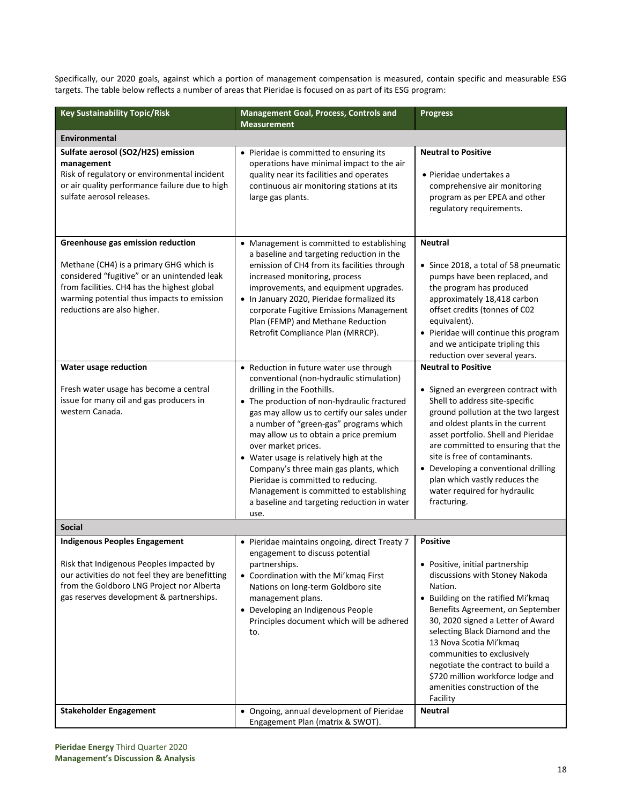Specifically, our 2020 goals, against which a portion of management compensation is measured, contain specific and measurable ESG targets. The table below reflects a number of areas that Pieridae is focused on as part of its ESG program:

| <b>Key Sustainability Topic/Risk</b>                                                                                                                                                                                                                    | Management Goal, Process, Controls and<br><b>Measurement</b>                                                                                                                                                                                                                                                                                                                                                                                                                                                                                            | <b>Progress</b>                                                                                                                                                                                                                                                                                                                                                                                                                  |
|---------------------------------------------------------------------------------------------------------------------------------------------------------------------------------------------------------------------------------------------------------|---------------------------------------------------------------------------------------------------------------------------------------------------------------------------------------------------------------------------------------------------------------------------------------------------------------------------------------------------------------------------------------------------------------------------------------------------------------------------------------------------------------------------------------------------------|----------------------------------------------------------------------------------------------------------------------------------------------------------------------------------------------------------------------------------------------------------------------------------------------------------------------------------------------------------------------------------------------------------------------------------|
| Environmental                                                                                                                                                                                                                                           |                                                                                                                                                                                                                                                                                                                                                                                                                                                                                                                                                         |                                                                                                                                                                                                                                                                                                                                                                                                                                  |
| Sulfate aerosol (SO2/H2S) emission<br>management<br>Risk of regulatory or environmental incident<br>or air quality performance failure due to high<br>sulfate aerosol releases.                                                                         | • Pieridae is committed to ensuring its<br>operations have minimal impact to the air<br>quality near its facilities and operates<br>continuous air monitoring stations at its<br>large gas plants.                                                                                                                                                                                                                                                                                                                                                      | <b>Neutral to Positive</b><br>• Pieridae undertakes a<br>comprehensive air monitoring<br>program as per EPEA and other<br>regulatory requirements.                                                                                                                                                                                                                                                                               |
| Greenhouse gas emission reduction<br>Methane (CH4) is a primary GHG which is<br>considered "fugitive" or an unintended leak<br>from facilities. CH4 has the highest global<br>warming potential thus impacts to emission<br>reductions are also higher. | • Management is committed to establishing<br>a baseline and targeting reduction in the<br>emission of CH4 from its facilities through<br>increased monitoring, process<br>improvements, and equipment upgrades.<br>. In January 2020, Pieridae formalized its<br>corporate Fugitive Emissions Management<br>Plan (FEMP) and Methane Reduction<br>Retrofit Compliance Plan (MRRCP).                                                                                                                                                                      | <b>Neutral</b><br>• Since 2018, a total of 58 pneumatic<br>pumps have been replaced, and<br>the program has produced<br>approximately 18,418 carbon<br>offset credits (tonnes of C02<br>equivalent).<br>• Pieridae will continue this program<br>and we anticipate tripling this<br>reduction over several years.                                                                                                                |
| Water usage reduction<br>Fresh water usage has become a central<br>issue for many oil and gas producers in<br>western Canada.                                                                                                                           | • Reduction in future water use through<br>conventional (non-hydraulic stimulation)<br>drilling in the Foothills.<br>• The production of non-hydraulic fractured<br>gas may allow us to certify our sales under<br>a number of "green-gas" programs which<br>may allow us to obtain a price premium<br>over market prices.<br>• Water usage is relatively high at the<br>Company's three main gas plants, which<br>Pieridae is committed to reducing.<br>Management is committed to establishing<br>a baseline and targeting reduction in water<br>use. | <b>Neutral to Positive</b><br>• Signed an evergreen contract with<br>Shell to address site-specific<br>ground pollution at the two largest<br>and oldest plants in the current<br>asset portfolio. Shell and Pieridae<br>are committed to ensuring that the<br>site is free of contaminants.<br>• Developing a conventional drilling<br>plan which vastly reduces the<br>water required for hydraulic<br>fracturing.             |
| <b>Social</b>                                                                                                                                                                                                                                           |                                                                                                                                                                                                                                                                                                                                                                                                                                                                                                                                                         |                                                                                                                                                                                                                                                                                                                                                                                                                                  |
| <b>Indigenous Peoples Engagement</b><br>Risk that Indigenous Peoples impacted by<br>our activities do not feel they are benefitting<br>from the Goldboro LNG Project nor Alberta<br>gas reserves development & partnerships.                            | • Pieridae maintains ongoing, direct Treaty 7<br>engagement to discuss potential<br>partnerships.<br>• Coordination with the Mi'kmaq First<br>Nations on long-term Goldboro site<br>management plans.<br>• Developing an Indigenous People<br>Principles document which will be adhered<br>to.                                                                                                                                                                                                                                                          | <b>Positive</b><br>• Positive, initial partnership<br>discussions with Stoney Nakoda<br>Nation.<br>• Building on the ratified Mi'kmaq<br>Benefits Agreement, on September<br>30, 2020 signed a Letter of Award<br>selecting Black Diamond and the<br>13 Nova Scotia Mi'kmaq<br>communities to exclusively<br>negotiate the contract to build a<br>\$720 million workforce lodge and<br>amenities construction of the<br>Facility |
| <b>Stakeholder Engagement</b>                                                                                                                                                                                                                           | • Ongoing, annual development of Pieridae<br>Engagement Plan (matrix & SWOT).                                                                                                                                                                                                                                                                                                                                                                                                                                                                           | <b>Neutral</b>                                                                                                                                                                                                                                                                                                                                                                                                                   |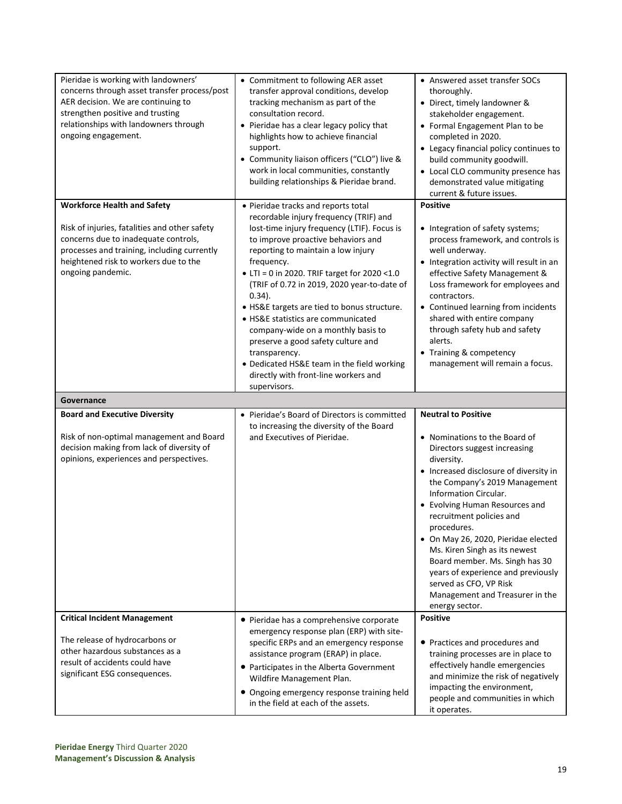| Pieridae is working with landowners'<br>concerns through asset transfer process/post<br>AER decision. We are continuing to<br>strengthen positive and trusting<br>relationships with landowners through<br>ongoing engagement.                         | • Commitment to following AER asset<br>transfer approval conditions, develop<br>tracking mechanism as part of the<br>consultation record.<br>• Pieridae has a clear legacy policy that<br>highlights how to achieve financial<br>support.<br>• Community liaison officers ("CLO") live &<br>work in local communities, constantly<br>building relationships & Pieridae brand.                                                                                                                                                                                                                                              | • Answered asset transfer SOCs<br>thoroughly.<br>• Direct, timely landowner &<br>stakeholder engagement.<br>• Formal Engagement Plan to be<br>completed in 2020.<br>• Legacy financial policy continues to<br>build community goodwill.<br>• Local CLO community presence has<br>demonstrated value mitigating<br>current & future issues.                                                                                  |
|--------------------------------------------------------------------------------------------------------------------------------------------------------------------------------------------------------------------------------------------------------|----------------------------------------------------------------------------------------------------------------------------------------------------------------------------------------------------------------------------------------------------------------------------------------------------------------------------------------------------------------------------------------------------------------------------------------------------------------------------------------------------------------------------------------------------------------------------------------------------------------------------|-----------------------------------------------------------------------------------------------------------------------------------------------------------------------------------------------------------------------------------------------------------------------------------------------------------------------------------------------------------------------------------------------------------------------------|
| <b>Workforce Health and Safety</b><br>Risk of injuries, fatalities and other safety<br>concerns due to inadequate controls,<br>processes and training, including currently<br>heightened risk to workers due to the<br>ongoing pandemic.<br>Governance | • Pieridae tracks and reports total<br>recordable injury frequency (TRIF) and<br>lost-time injury frequency (LTIF). Focus is<br>to improve proactive behaviors and<br>reporting to maintain a low injury<br>frequency.<br>• LTI = 0 in 2020. TRIF target for 2020 <1.0<br>(TRIF of 0.72 in 2019, 2020 year-to-date of<br>$0.34$ ).<br>• HS&E targets are tied to bonus structure.<br>• HS&E statistics are communicated<br>company-wide on a monthly basis to<br>preserve a good safety culture and<br>transparency.<br>• Dedicated HS&E team in the field working<br>directly with front-line workers and<br>supervisors. | <b>Positive</b><br>• Integration of safety systems;<br>process framework, and controls is<br>well underway.<br>• Integration activity will result in an<br>effective Safety Management &<br>Loss framework for employees and<br>contractors.<br>• Continued learning from incidents<br>shared with entire company<br>through safety hub and safety<br>alerts.<br>• Training & competency<br>management will remain a focus. |
| <b>Board and Executive Diversity</b><br>Risk of non-optimal management and Board<br>decision making from lack of diversity of<br>opinions, experiences and perspectives.                                                                               | • Pieridae's Board of Directors is committed<br>to increasing the diversity of the Board<br>and Executives of Pieridae.                                                                                                                                                                                                                                                                                                                                                                                                                                                                                                    | <b>Neutral to Positive</b><br>• Nominations to the Board of<br>Directors suggest increasing<br>diversity.<br>• Increased disclosure of diversity in                                                                                                                                                                                                                                                                         |
|                                                                                                                                                                                                                                                        |                                                                                                                                                                                                                                                                                                                                                                                                                                                                                                                                                                                                                            | the Company's 2019 Management<br>Information Circular.<br>• Evolving Human Resources and<br>recruitment policies and<br>procedures.<br>• On May 26, 2020, Pieridae elected<br>Ms. Kiren Singh as its newest<br>Board member. Ms. Singh has 30<br>years of experience and previously<br>served as CFO, VP Risk<br>Management and Treasurer in the<br>energy sector.                                                          |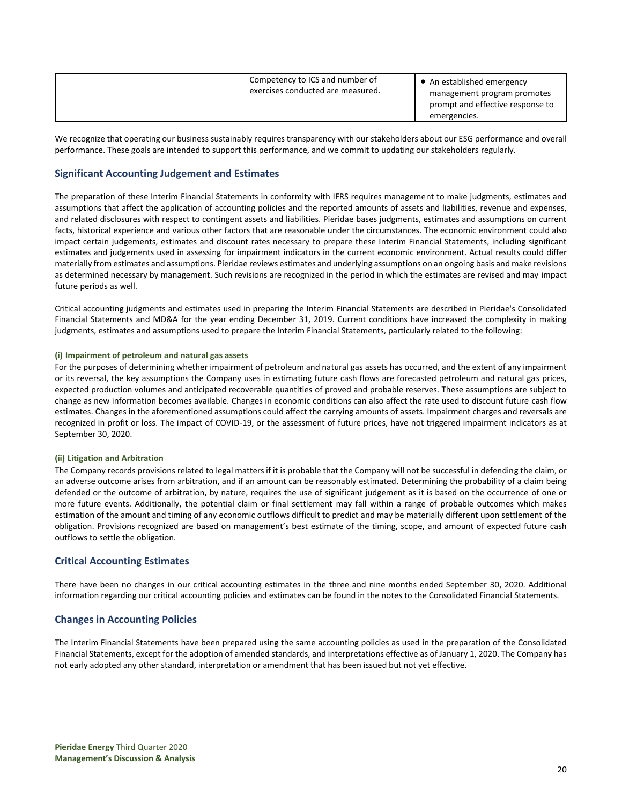| Competency to ICS and number of<br>exercises conducted are measured. | • An established emergency<br>management program promotes<br>prompt and effective response to<br>emergencies. |
|----------------------------------------------------------------------|---------------------------------------------------------------------------------------------------------------|
|----------------------------------------------------------------------|---------------------------------------------------------------------------------------------------------------|

We recognize that operating our business sustainably requires transparency with our stakeholders about our ESG performance and overall performance. These goals are intended to support this performance, and we commit to updating our stakeholders regularly.

# **Significant Accounting Judgement and Estimates**

The preparation of these Interim Financial Statements in conformity with IFRS requires management to make judgments, estimates and assumptions that affect the application of accounting policies and the reported amounts of assets and liabilities, revenue and expenses, and related disclosures with respect to contingent assets and liabilities. Pieridae bases judgments, estimates and assumptions on current facts, historical experience and various other factors that are reasonable under the circumstances. The economic environment could also impact certain judgements, estimates and discount rates necessary to prepare these Interim Financial Statements, including significant estimates and judgements used in assessing for impairment indicators in the current economic environment. Actual results could differ materially from estimates and assumptions. Pieridae reviews estimates and underlying assumptions on an ongoing basis and make revisions as determined necessary by management. Such revisions are recognized in the period in which the estimates are revised and may impact future periods as well.

Critical accounting judgments and estimates used in preparing the Interim Financial Statements are described in Pieridae's Consolidated Financial Statements and MD&A for the year ending December 31, 2019. Current conditions have increased the complexity in making judgments, estimates and assumptions used to prepare the Interim Financial Statements, particularly related to the following:

# **(i) Impairment of petroleum and natural gas assets**

For the purposes of determining whether impairment of petroleum and natural gas assets has occurred, and the extent of any impairment or its reversal, the key assumptions the Company uses in estimating future cash flows are forecasted petroleum and natural gas prices, expected production volumes and anticipated recoverable quantities of proved and probable reserves. These assumptions are subject to change as new information becomes available. Changes in economic conditions can also affect the rate used to discount future cash flow estimates. Changes in the aforementioned assumptions could affect the carrying amounts of assets. Impairment charges and reversals are recognized in profit or loss. The impact of COVID-19, or the assessment of future prices, have not triggered impairment indicators as at September 30, 2020.

### **(ii) Litigation and Arbitration**

The Company records provisions related to legal matters if it is probable that the Company will not be successful in defending the claim, or an adverse outcome arises from arbitration, and if an amount can be reasonably estimated. Determining the probability of a claim being defended or the outcome of arbitration, by nature, requires the use of significant judgement as it is based on the occurrence of one or more future events. Additionally, the potential claim or final settlement may fall within a range of probable outcomes which makes estimation of the amount and timing of any economic outflows difficult to predict and may be materially different upon settlement of the obligation. Provisions recognized are based on management's best estimate of the timing, scope, and amount of expected future cash outflows to settle the obligation.

# **Critical Accounting Estimates**

There have been no changes in our critical accounting estimates in the three and nine months ended September 30, 2020. Additional information regarding our critical accounting policies and estimates can be found in the notes to the Consolidated Financial Statements.

# **Changes in Accounting Policies**

The Interim Financial Statements have been prepared using the same accounting policies as used in the preparation of the Consolidated Financial Statements, except for the adoption of amended standards, and interpretations effective as of January 1, 2020. The Company has not early adopted any other standard, interpretation or amendment that has been issued but not yet effective.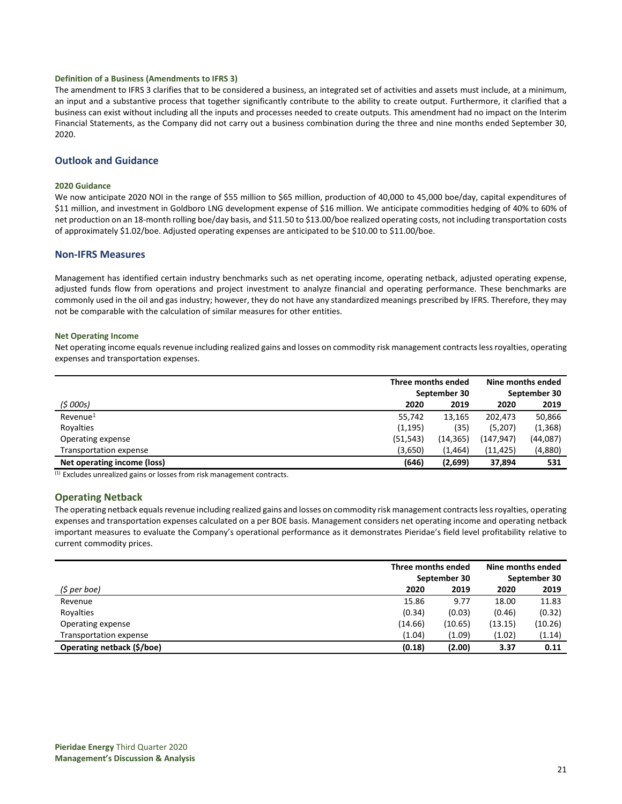#### **Definition of a Business (Amendments to IFRS 3)**

The amendment to IFRS 3 clarifies that to be considered a business, an integrated set of activities and assets must include, at a minimum, an input and a substantive process that together significantly contribute to the ability to create output. Furthermore, it clarified that a business can exist without including all the inputs and processes needed to create outputs. This amendment had no impact on the Interim Financial Statements, as the Company did not carry out a business combination during the three and nine months ended September 30, 2020.

# **Outlook and Guidance**

#### **2020 Guidance**

We now anticipate 2020 NOI in the range of \$55 million to \$65 million, production of 40,000 to 45,000 boe/day, capital expenditures of \$11 million, and investment in Goldboro LNG development expense of \$16 million. We anticipate commodities hedging of 40% to 60% of net production on an 18-month rolling boe/day basis, and \$11.50 to \$13.00/boe realized operating costs, not including transportation costs of approximately \$1.02/boe. Adjusted operating expenses are anticipated to be \$10.00 to \$11.00/boe.

### **Non-IFRS Measures**

Management has identified certain industry benchmarks such as net operating income, operating netback, adjusted operating expense, adjusted funds flow from operations and project investment to analyze financial and operating performance. These benchmarks are commonly used in the oil and gas industry; however, they do not have any standardized meanings prescribed by IFRS. Therefore, they may not be comparable with the calculation of similar measures for other entities.

#### **Net Operating Income**

Net operating income equals revenue including realized gains and losses on commodity risk management contracts less royalties, operating expenses and transportation expenses.

|                             | Three months ended |           | Nine months ended |          |
|-----------------------------|--------------------|-----------|-------------------|----------|
|                             | September 30       |           | September 30      |          |
| (5000s)                     | 2020               | 2019      | 2020              | 2019     |
| $Re$ venue $1$              | 55,742             | 13,165    | 202,473           | 50,866   |
| Royalties                   | (1, 195)           | (35)      | (5,207)           | (1, 368) |
| Operating expense           | (51, 543)          | (14, 365) | (147,947)         | (44,087) |
| Transportation expense      | (3,650)            | (1,464)   | (11, 425)         | (4,880)  |
| Net operating income (loss) | (646)              | (2,699)   | 37,894            | 531      |

 $\overline{^{(1)}}$  Excludes unrealized gains or losses from risk management contracts.

# **Operating Netback**

The operating netback equals revenue including realized gains and losses on commodity risk management contracts less royalties, operating expenses and transportation expenses calculated on a per BOE basis. Management considers net operating income and operating netback important measures to evaluate the Company's operational performance as it demonstrates Pieridae's field level profitability relative to current commodity prices.

|                            | Three months ended |         | Nine months ended |              |
|----------------------------|--------------------|---------|-------------------|--------------|
|                            | September 30       |         |                   | September 30 |
| (\$ per boe)               | 2020               | 2019    | 2020              | 2019         |
| Revenue                    | 15.86              | 9.77    | 18.00             | 11.83        |
| Royalties                  | (0.34)             | (0.03)  | (0.46)            | (0.32)       |
| Operating expense          | (14.66)            | (10.65) | (13.15)           | (10.26)      |
| Transportation expense     | (1.04)             | (1.09)  | (1.02)            | (1.14)       |
| Operating netback (\$/boe) | (0.18)             | (2.00)  | 3.37              | 0.11         |